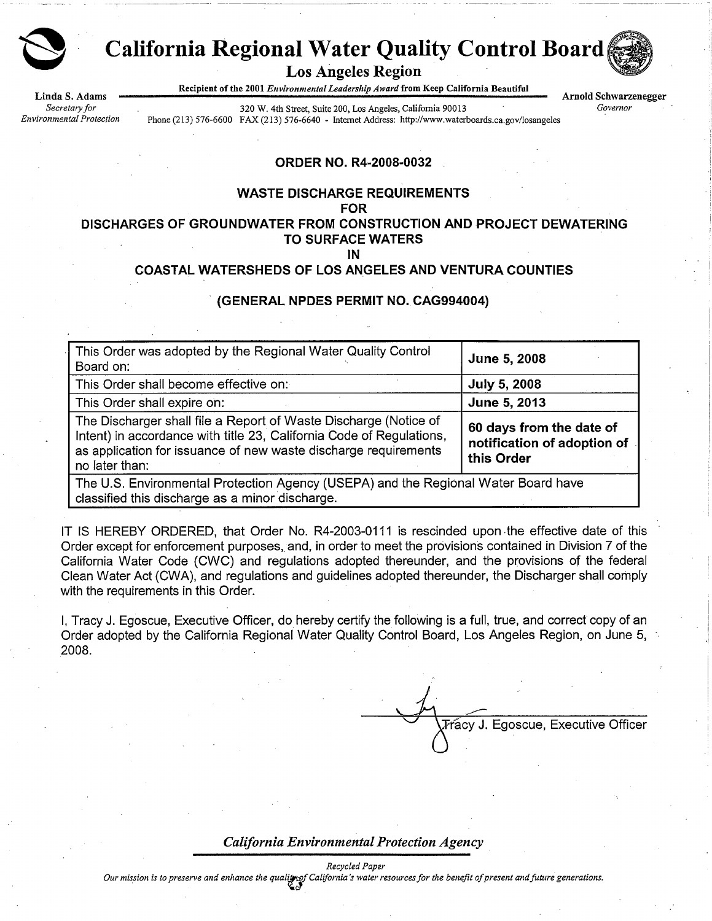

# **California Regional Water Quality Control Board**

**Los Angeles Region** 

Recipient of the 2001 Environmental Leadership Award from Keep California Beautiful

Linda S. Adams Secretary for Environmental Protection

320 W. 4th Street, Suite 200, Los Angeles, California 90013 Phone (213) 576-6600 FAX (213) 576-6640 - Internet Address: http://www.waterboards.ca.gov/losangeles

**Arnold Schwarzenegger** Governor

**ORDER NO. R4-2008-0032** 

#### **WASTE DISCHARGE REQUIREMENTS**

**FOR** 

#### DISCHARGES OF GROUNDWATER FROM CONSTRUCTION AND PROJECT DEWATERING **TO SURFACE WATERS**

IN

## **COASTAL WATERSHEDS OF LOS ANGELES AND VENTURA COUNTIES**

#### (GENERAL NPDES PERMIT NO. CAG994004)

| This Order was adopted by the Regional Water Quality Control<br>Board on:                                                                                                                                                     | June 5, 2008                                                          |  |  |  |  |  |  |
|-------------------------------------------------------------------------------------------------------------------------------------------------------------------------------------------------------------------------------|-----------------------------------------------------------------------|--|--|--|--|--|--|
| This Order shall become effective on:                                                                                                                                                                                         | <b>July 5, 2008</b>                                                   |  |  |  |  |  |  |
| This Order shall expire on:                                                                                                                                                                                                   | June 5, 2013                                                          |  |  |  |  |  |  |
| The Discharger shall file a Report of Waste Discharge (Notice of<br>Intent) in accordance with title 23, California Code of Regulations,<br>as application for issuance of new waste discharge requirements<br>no later than: | 60 days from the date of<br>notification of adoption of<br>this Order |  |  |  |  |  |  |
| The U.S. Environmental Protection Agency (USEPA) and the Regional Water Board have<br>classified this discharge as a minor discharge.                                                                                         |                                                                       |  |  |  |  |  |  |

IT IS HEREBY ORDERED, that Order No. R4-2003-0111 is rescinded upon the effective date of this Order except for enforcement purposes, and, in order to meet the provisions contained in Division 7 of the California Water Code (CWC) and regulations adopted thereunder, and the provisions of the federal Clean Water Act (CWA), and regulations and guidelines adopted thereunder, the Discharger shall comply with the requirements in this Order.

I. Tracy J. Egoscue, Executive Officer, do hereby certify the following is a full, true, and correct copy of an Order adopted by the California Regional Water Quality Control Board, Los Angeles Region, on June 5, 2008.

Fracy J. Egoscue, Executive Officer

#### **California Environmental Protection Agency**

Our mission is to preserve and enhance the quality of California's water resources for the benefit of present and future generations.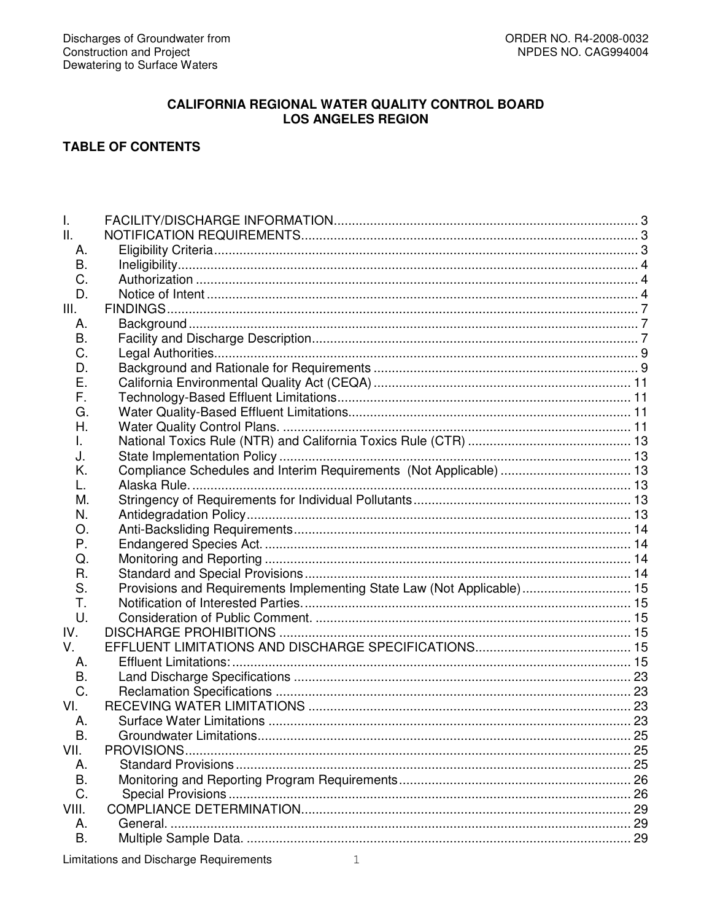# **CALIFORNIA REGIONAL WATER QUALITY CONTROL BOARD LOS ANGELES REGION**

# **TABLE OF CONTENTS**

| I.          |                                                                        |  |
|-------------|------------------------------------------------------------------------|--|
| II.         |                                                                        |  |
| А.          |                                                                        |  |
| В.          |                                                                        |  |
| C.          |                                                                        |  |
| D.          |                                                                        |  |
| III.        |                                                                        |  |
| А.          |                                                                        |  |
| В.          |                                                                        |  |
| C.          |                                                                        |  |
| D.          |                                                                        |  |
| Е.          |                                                                        |  |
| F.          |                                                                        |  |
| G.          |                                                                        |  |
| Н.          |                                                                        |  |
| L.          |                                                                        |  |
| J.          |                                                                        |  |
| Κ.          | Compliance Schedules and Interim Requirements (Not Applicable)  13     |  |
| L.          |                                                                        |  |
| М.          |                                                                        |  |
| N.          |                                                                        |  |
| O.          |                                                                        |  |
| Ρ.          |                                                                        |  |
| Q.          |                                                                        |  |
| R.          |                                                                        |  |
| S.          | Provisions and Requirements Implementing State Law (Not Applicable) 15 |  |
| Τ.          |                                                                        |  |
| U.          |                                                                        |  |
| IV.         |                                                                        |  |
| $V_{\perp}$ |                                                                        |  |
| А.          |                                                                        |  |
| В.          |                                                                        |  |
| C.          |                                                                        |  |
| VI.         |                                                                        |  |
| Α.          |                                                                        |  |
| В.          |                                                                        |  |
| VII.        | PROVISIONS.                                                            |  |
| А.          |                                                                        |  |
| B.          |                                                                        |  |
| C.          |                                                                        |  |
| VIII.       |                                                                        |  |
| А.          |                                                                        |  |
| Β.          |                                                                        |  |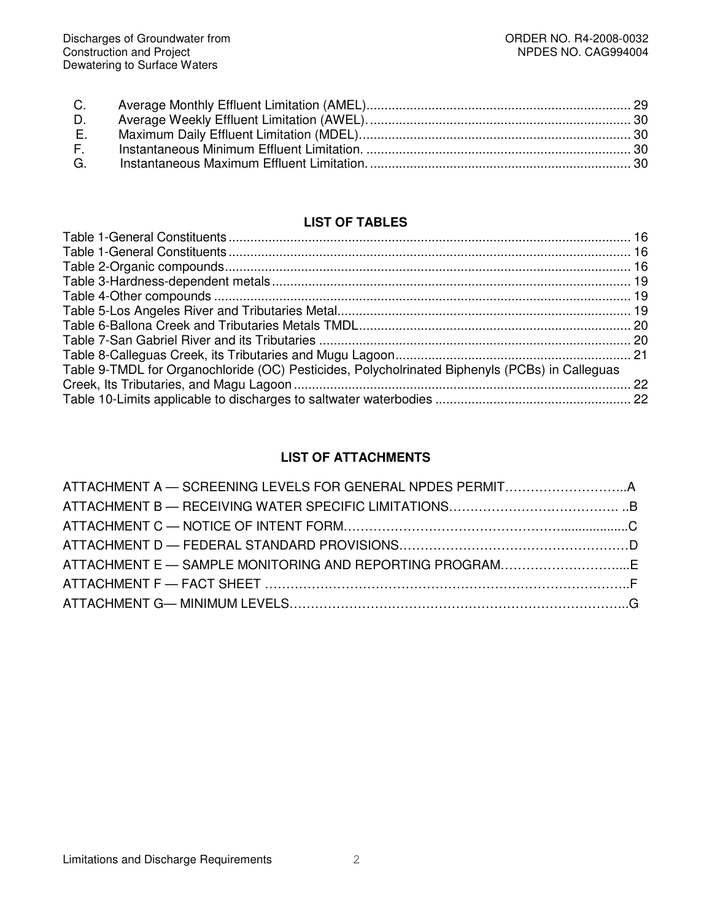| D. |  |
|----|--|
| E. |  |
|    |  |
|    |  |
|    |  |

# **LIST OF TABLES**

| Table 9-TMDL for Organochloride (OC) Pesticides, Polycholrinated Biphenyls (PCBs) in Calleguas |  |
|------------------------------------------------------------------------------------------------|--|
|                                                                                                |  |
|                                                                                                |  |
|                                                                                                |  |

# **LIST OF ATTACHMENTS**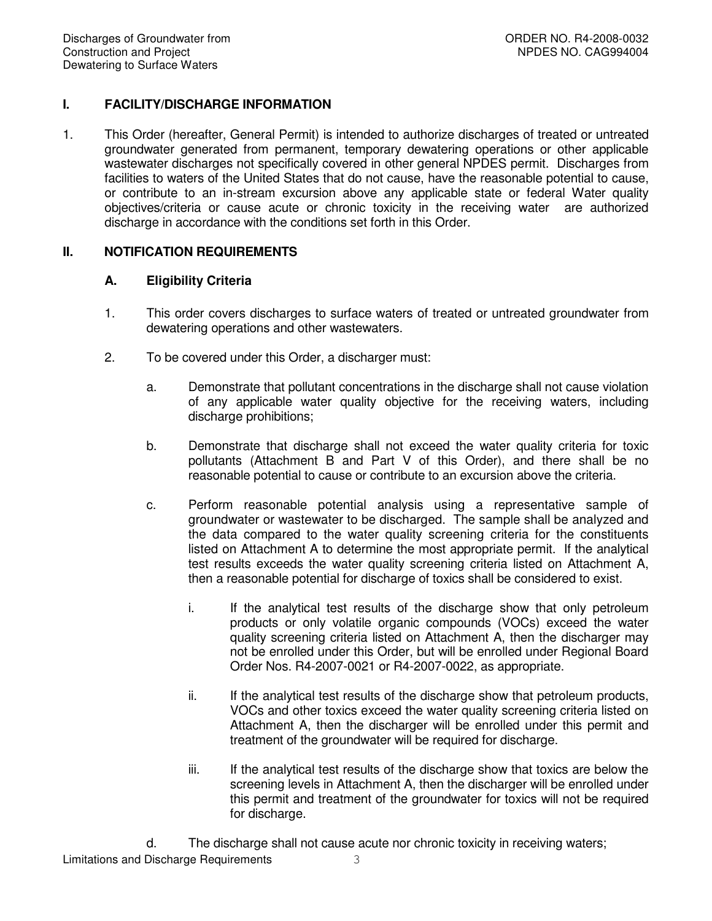# **I. FACILITY/DISCHARGE INFORMATION**

1. This Order (hereafter, General Permit) is intended to authorize discharges of treated or untreated groundwater generated from permanent, temporary dewatering operations or other applicable wastewater discharges not specifically covered in other general NPDES permit. Discharges from facilities to waters of the United States that do not cause, have the reasonable potential to cause, or contribute to an in-stream excursion above any applicable state or federal Water quality objectives/criteria or cause acute or chronic toxicity in the receiving water are authorized discharge in accordance with the conditions set forth in this Order.

# **II. NOTIFICATION REQUIREMENTS**

# **A. Eligibility Criteria**

- 1. This order covers discharges to surface waters of treated or untreated groundwater from dewatering operations and other wastewaters.
- 2. To be covered under this Order, a discharger must:
	- a. Demonstrate that pollutant concentrations in the discharge shall not cause violation of any applicable water quality objective for the receiving waters, including discharge prohibitions;
	- b. Demonstrate that discharge shall not exceed the water quality criteria for toxic pollutants (Attachment B and Part V of this Order), and there shall be no reasonable potential to cause or contribute to an excursion above the criteria.
	- c. Perform reasonable potential analysis using a representative sample of groundwater or wastewater to be discharged. The sample shall be analyzed and the data compared to the water quality screening criteria for the constituents listed on Attachment A to determine the most appropriate permit. If the analytical test results exceeds the water quality screening criteria listed on Attachment A, then a reasonable potential for discharge of toxics shall be considered to exist.
		- i. If the analytical test results of the discharge show that only petroleum products or only volatile organic compounds (VOCs) exceed the water quality screening criteria listed on Attachment A, then the discharger may not be enrolled under this Order, but will be enrolled under Regional Board Order Nos. R4-2007-0021 or R4-2007-0022, as appropriate.
		- ii. If the analytical test results of the discharge show that petroleum products, VOCs and other toxics exceed the water quality screening criteria listed on Attachment A, then the discharger will be enrolled under this permit and treatment of the groundwater will be required for discharge.
		- iii. If the analytical test results of the discharge show that toxics are below the screening levels in Attachment A, then the discharger will be enrolled under this permit and treatment of the groundwater for toxics will not be required for discharge.
	- d. The discharge shall not cause acute nor chronic toxicity in receiving waters;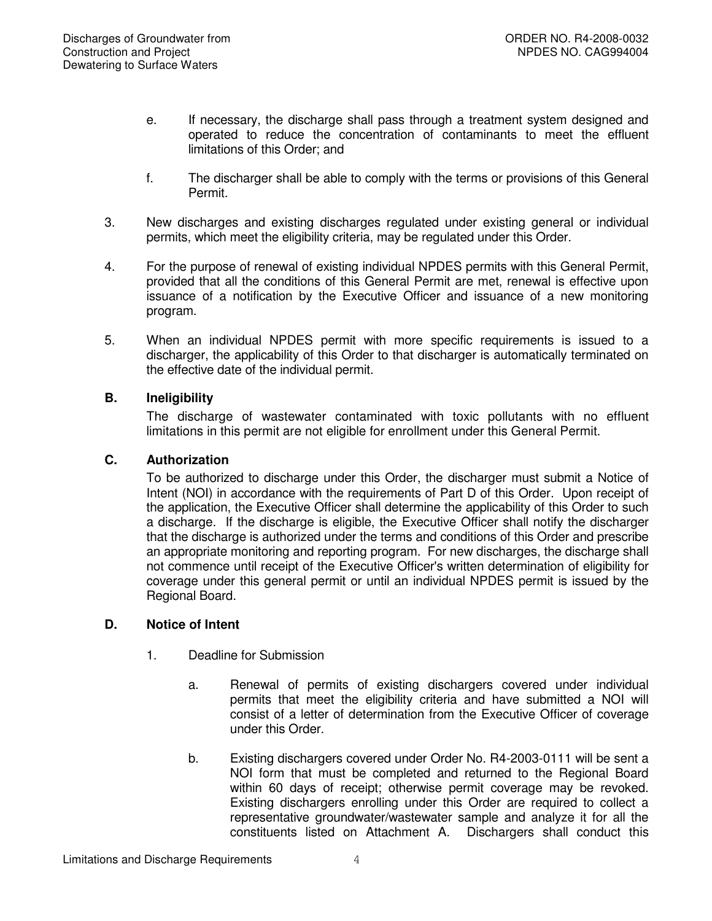- e. If necessary, the discharge shall pass through a treatment system designed and operated to reduce the concentration of contaminants to meet the effluent limitations of this Order; and
- f. The discharger shall be able to comply with the terms or provisions of this General Permit.
- 3. New discharges and existing discharges regulated under existing general or individual permits, which meet the eligibility criteria, may be regulated under this Order.
- 4. For the purpose of renewal of existing individual NPDES permits with this General Permit, provided that all the conditions of this General Permit are met, renewal is effective upon issuance of a notification by the Executive Officer and issuance of a new monitoring program.
- 5. When an individual NPDES permit with more specific requirements is issued to a discharger, the applicability of this Order to that discharger is automatically terminated on the effective date of the individual permit.

# **B. Ineligibility**

The discharge of wastewater contaminated with toxic pollutants with no effluent limitations in this permit are not eligible for enrollment under this General Permit.

# **C. Authorization**

To be authorized to discharge under this Order, the discharger must submit a Notice of Intent (NOI) in accordance with the requirements of Part D of this Order. Upon receipt of the application, the Executive Officer shall determine the applicability of this Order to such a discharge. If the discharge is eligible, the Executive Officer shall notify the discharger that the discharge is authorized under the terms and conditions of this Order and prescribe an appropriate monitoring and reporting program. For new discharges, the discharge shall not commence until receipt of the Executive Officer's written determination of eligibility for coverage under this general permit or until an individual NPDES permit is issued by the Regional Board.

# **D. Notice of Intent**

- 1. Deadline for Submission
	- a. Renewal of permits of existing dischargers covered under individual permits that meet the eligibility criteria and have submitted a NOI will consist of a letter of determination from the Executive Officer of coverage under this Order.
	- b. Existing dischargers covered under Order No. R4-2003-0111 will be sent a NOI form that must be completed and returned to the Regional Board within 60 days of receipt; otherwise permit coverage may be revoked. Existing dischargers enrolling under this Order are required to collect a representative groundwater/wastewater sample and analyze it for all the constituents listed on Attachment A. Dischargers shall conduct this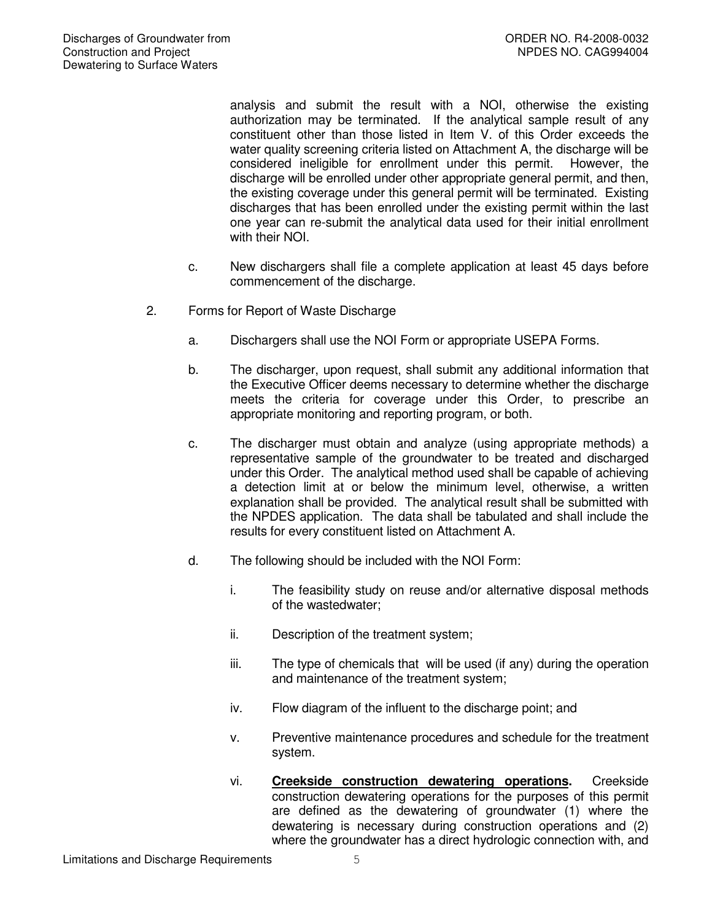analysis and submit the result with a NOI, otherwise the existing authorization may be terminated. If the analytical sample result of any constituent other than those listed in Item V. of this Order exceeds the water quality screening criteria listed on Attachment A, the discharge will be considered ineligible for enrollment under this permit. However, the discharge will be enrolled under other appropriate general permit, and then, the existing coverage under this general permit will be terminated. Existing discharges that has been enrolled under the existing permit within the last one year can re-submit the analytical data used for their initial enrollment with their NOI.

- c. New dischargers shall file a complete application at least 45 days before commencement of the discharge.
- 2. Forms for Report of Waste Discharge
	- a. Dischargers shall use the NOI Form or appropriate USEPA Forms.
	- b. The discharger, upon request, shall submit any additional information that the Executive Officer deems necessary to determine whether the discharge meets the criteria for coverage under this Order, to prescribe an appropriate monitoring and reporting program, or both.
	- c. The discharger must obtain and analyze (using appropriate methods) a representative sample of the groundwater to be treated and discharged under this Order. The analytical method used shall be capable of achieving a detection limit at or below the minimum level, otherwise, a written explanation shall be provided. The analytical result shall be submitted with the NPDES application. The data shall be tabulated and shall include the results for every constituent listed on Attachment A.
	- d. The following should be included with the NOI Form:
		- i. The feasibility study on reuse and/or alternative disposal methods of the wastedwater;
		- ii. Description of the treatment system;
		- iii. The type of chemicals that will be used (if any) during the operation and maintenance of the treatment system;
		- iv. Flow diagram of the influent to the discharge point; and
		- v. Preventive maintenance procedures and schedule for the treatment system.
		- vi. **Creekside construction dewatering operations.** Creekside construction dewatering operations for the purposes of this permit are defined as the dewatering of groundwater (1) where the dewatering is necessary during construction operations and (2) where the groundwater has a direct hydrologic connection with, and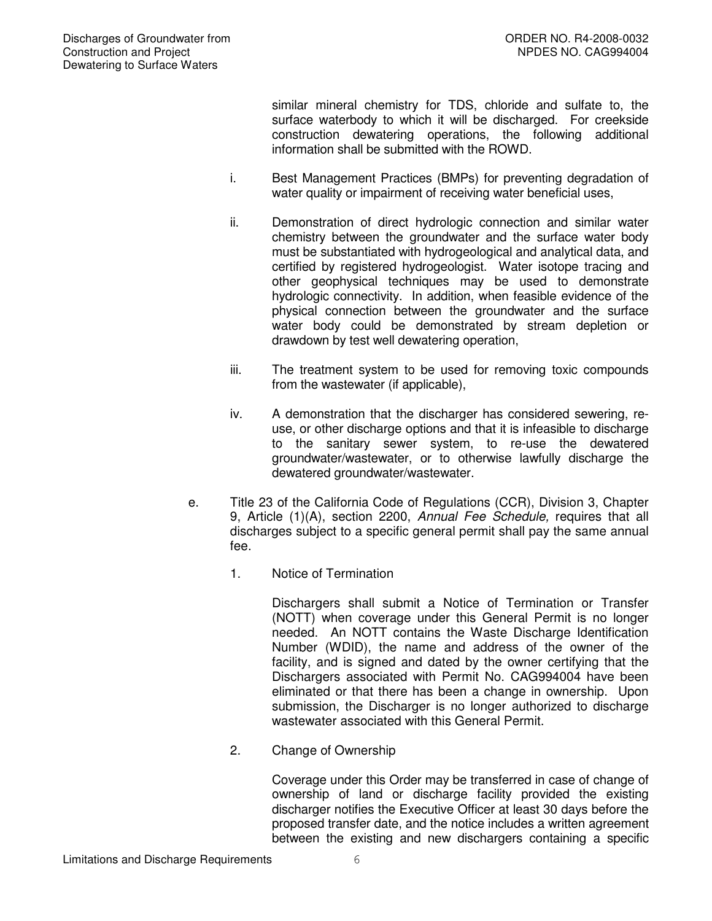similar mineral chemistry for TDS, chloride and sulfate to, the surface waterbody to which it will be discharged. For creekside construction dewatering operations, the following additional information shall be submitted with the ROWD.

- i. Best Management Practices (BMPs) for preventing degradation of water quality or impairment of receiving water beneficial uses,
- ii. Demonstration of direct hydrologic connection and similar water chemistry between the groundwater and the surface water body must be substantiated with hydrogeological and analytical data, and certified by registered hydrogeologist. Water isotope tracing and other geophysical techniques may be used to demonstrate hydrologic connectivity. In addition, when feasible evidence of the physical connection between the groundwater and the surface water body could be demonstrated by stream depletion or drawdown by test well dewatering operation,
- iii. The treatment system to be used for removing toxic compounds from the wastewater (if applicable),
- iv. A demonstration that the discharger has considered sewering, reuse, or other discharge options and that it is infeasible to discharge to the sanitary sewer system, to re-use the dewatered groundwater/wastewater, or to otherwise lawfully discharge the dewatered groundwater/wastewater.
- e. Title 23 of the California Code of Regulations (CCR), Division 3, Chapter 9, Article (1)(A), section 2200, *Annual Fee Schedule,* requires that all discharges subject to a specific general permit shall pay the same annual fee.
	- 1. Notice of Termination

Dischargers shall submit a Notice of Termination or Transfer (NOTT) when coverage under this General Permit is no longer needed. An NOTT contains the Waste Discharge Identification Number (WDID), the name and address of the owner of the facility, and is signed and dated by the owner certifying that the Dischargers associated with Permit No. CAG994004 have been eliminated or that there has been a change in ownership. Upon submission, the Discharger is no longer authorized to discharge wastewater associated with this General Permit.

2. Change of Ownership

Coverage under this Order may be transferred in case of change of ownership of land or discharge facility provided the existing discharger notifies the Executive Officer at least 30 days before the proposed transfer date, and the notice includes a written agreement between the existing and new dischargers containing a specific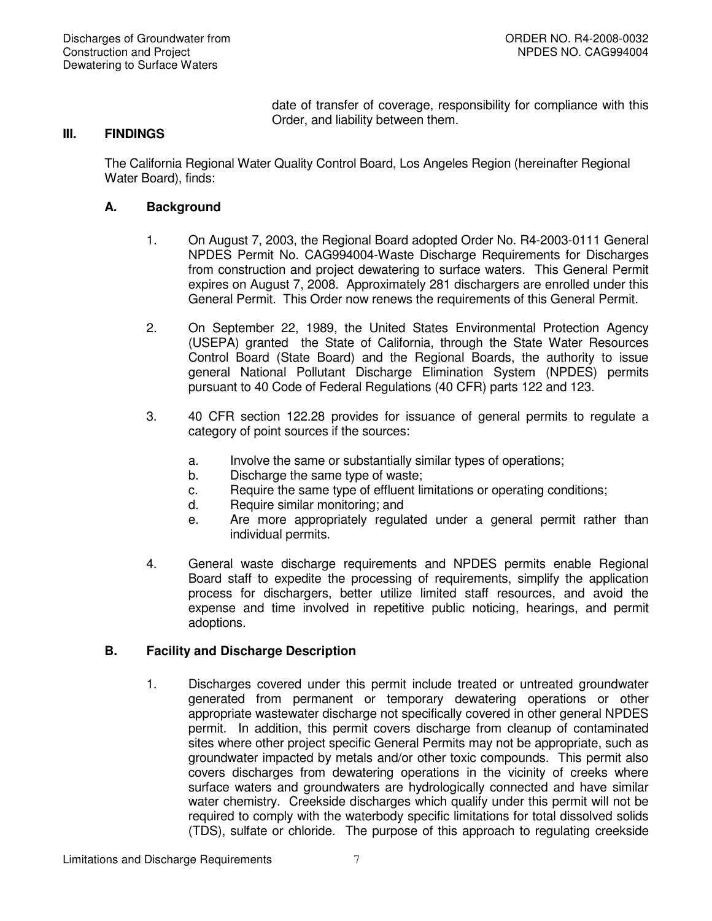date of transfer of coverage, responsibility for compliance with this Order, and liability between them.

## **III. FINDINGS**

The California Regional Water Quality Control Board, Los Angeles Region (hereinafter Regional Water Board), finds:

## **A. Background**

- 1. On August 7, 2003, the Regional Board adopted Order No. R4-2003-0111 General NPDES Permit No. CAG994004-Waste Discharge Requirements for Discharges from construction and project dewatering to surface waters. This General Permit expires on August 7, 2008. Approximately 281 dischargers are enrolled under this General Permit. This Order now renews the requirements of this General Permit.
- 2. On September 22, 1989, the United States Environmental Protection Agency (USEPA) granted the State of California, through the State Water Resources Control Board (State Board) and the Regional Boards, the authority to issue general National Pollutant Discharge Elimination System (NPDES) permits pursuant to 40 Code of Federal Regulations (40 CFR) parts 122 and 123.
- 3. 40 CFR section 122.28 provides for issuance of general permits to regulate a category of point sources if the sources:
	- a. Involve the same or substantially similar types of operations;
	- b. Discharge the same type of waste;
	- c. Require the same type of effluent limitations or operating conditions;
	- d. Require similar monitoring; and
	- e. Are more appropriately regulated under a general permit rather than individual permits.
- 4. General waste discharge requirements and NPDES permits enable Regional Board staff to expedite the processing of requirements, simplify the application process for dischargers, better utilize limited staff resources, and avoid the expense and time involved in repetitive public noticing, hearings, and permit adoptions.

# **B. Facility and Discharge Description**

1. Discharges covered under this permit include treated or untreated groundwater generated from permanent or temporary dewatering operations or other appropriate wastewater discharge not specifically covered in other general NPDES permit. In addition, this permit covers discharge from cleanup of contaminated sites where other project specific General Permits may not be appropriate, such as groundwater impacted by metals and/or other toxic compounds. This permit also covers discharges from dewatering operations in the vicinity of creeks where surface waters and groundwaters are hydrologically connected and have similar water chemistry. Creekside discharges which qualify under this permit will not be required to comply with the waterbody specific limitations for total dissolved solids (TDS), sulfate or chloride. The purpose of this approach to regulating creekside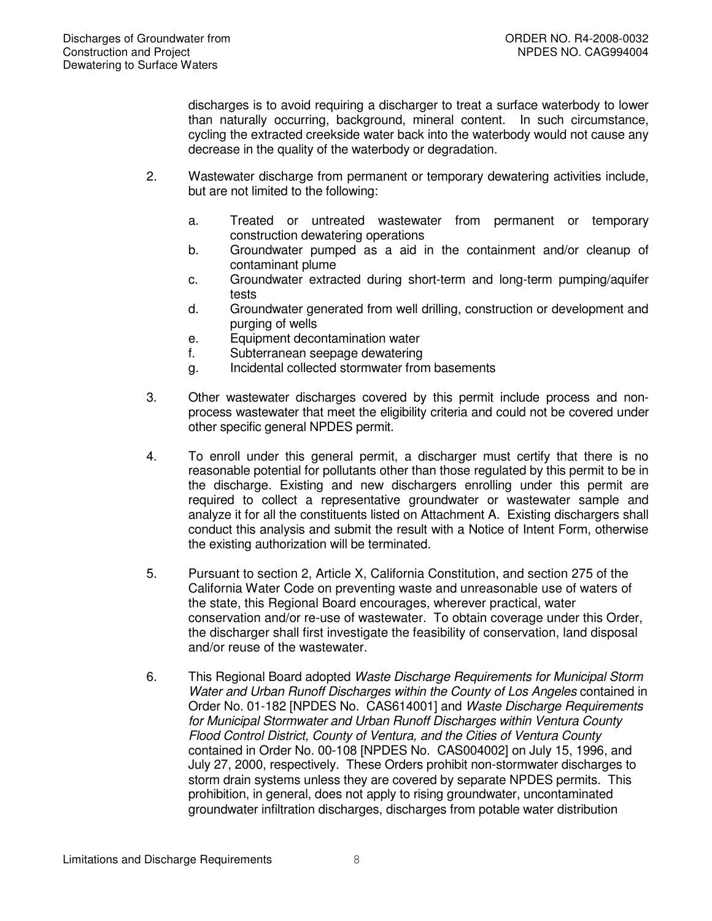discharges is to avoid requiring a discharger to treat a surface waterbody to lower than naturally occurring, background, mineral content. In such circumstance, cycling the extracted creekside water back into the waterbody would not cause any decrease in the quality of the waterbody or degradation.

- 2. Wastewater discharge from permanent or temporary dewatering activities include, but are not limited to the following:
	- a. Treated or untreated wastewater from permanent or temporary construction dewatering operations
	- b. Groundwater pumped as a aid in the containment and/or cleanup of contaminant plume
	- c. Groundwater extracted during short-term and long-term pumping/aquifer tests
	- d. Groundwater generated from well drilling, construction or development and purging of wells
	- e. Equipment decontamination water
	- f. Subterranean seepage dewatering
	- g. Incidental collected stormwater from basements
- 3. Other wastewater discharges covered by this permit include process and nonprocess wastewater that meet the eligibility criteria and could not be covered under other specific general NPDES permit.
- 4. To enroll under this general permit, a discharger must certify that there is no reasonable potential for pollutants other than those regulated by this permit to be in the discharge. Existing and new dischargers enrolling under this permit are required to collect a representative groundwater or wastewater sample and analyze it for all the constituents listed on Attachment A. Existing dischargers shall conduct this analysis and submit the result with a Notice of Intent Form, otherwise the existing authorization will be terminated.
- 5. Pursuant to section 2, Article X, California Constitution, and section 275 of the California Water Code on preventing waste and unreasonable use of waters of the state, this Regional Board encourages, wherever practical, water conservation and/or re-use of wastewater. To obtain coverage under this Order, the discharger shall first investigate the feasibility of conservation, land disposal and/or reuse of the wastewater.
- 6. This Regional Board adopted *Waste Discharge Requirements for Municipal Storm Water and Urban Runoff Discharges within the County of Los Angeles* contained in Order No. 01-182 [NPDES No. CAS614001] and *Waste Discharge Requirements for Municipal Stormwater and Urban Runoff Discharges within Ventura County Flood Control District, County of Ventura, and the Cities of Ventura County* contained in Order No. 00-108 [NPDES No. CAS004002] on July 15, 1996, and July 27, 2000, respectively. These Orders prohibit non-stormwater discharges to storm drain systems unless they are covered by separate NPDES permits. This prohibition, in general, does not apply to rising groundwater, uncontaminated groundwater infiltration discharges, discharges from potable water distribution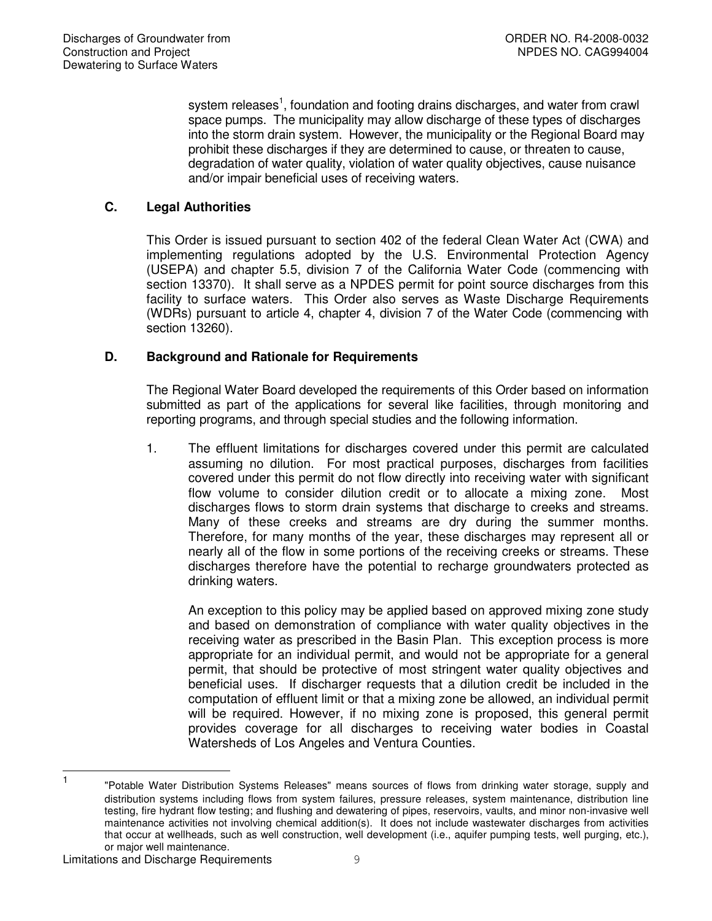system releases<sup>1</sup>, foundation and footing drains discharges, and water from crawl space pumps. The municipality may allow discharge of these types of discharges into the storm drain system. However, the municipality or the Regional Board may prohibit these discharges if they are determined to cause, or threaten to cause, degradation of water quality, violation of water quality objectives, cause nuisance and/or impair beneficial uses of receiving waters.

# **C. Legal Authorities**

This Order is issued pursuant to section 402 of the federal Clean Water Act (CWA) and implementing regulations adopted by the U.S. Environmental Protection Agency (USEPA) and chapter 5.5, division 7 of the California Water Code (commencing with section 13370). It shall serve as a NPDES permit for point source discharges from this facility to surface waters. This Order also serves as Waste Discharge Requirements (WDRs) pursuant to article 4, chapter 4, division 7 of the Water Code (commencing with section 13260).

## **D. Background and Rationale for Requirements**

The Regional Water Board developed the requirements of this Order based on information submitted as part of the applications for several like facilities, through monitoring and reporting programs, and through special studies and the following information.

1. The effluent limitations for discharges covered under this permit are calculated assuming no dilution. For most practical purposes, discharges from facilities covered under this permit do not flow directly into receiving water with significant flow volume to consider dilution credit or to allocate a mixing zone. Most discharges flows to storm drain systems that discharge to creeks and streams. Many of these creeks and streams are dry during the summer months. Therefore, for many months of the year, these discharges may represent all or nearly all of the flow in some portions of the receiving creeks or streams. These discharges therefore have the potential to recharge groundwaters protected as drinking waters.

An exception to this policy may be applied based on approved mixing zone study and based on demonstration of compliance with water quality objectives in the receiving water as prescribed in the Basin Plan. This exception process is more appropriate for an individual permit, and would not be appropriate for a general permit, that should be protective of most stringent water quality objectives and beneficial uses. If discharger requests that a dilution credit be included in the computation of effluent limit or that a mixing zone be allowed, an individual permit will be required. However, if no mixing zone is proposed, this general permit provides coverage for all discharges to receiving water bodies in Coastal Watersheds of Los Angeles and Ventura Counties.

 $\frac{1}{1}$ "Potable Water Distribution Systems Releases" means sources of flows from drinking water storage, supply and distribution systems including flows from system failures, pressure releases, system maintenance, distribution line testing, fire hydrant flow testing; and flushing and dewatering of pipes, reservoirs, vaults, and minor non-invasive well maintenance activities not involving chemical addition(s). It does not include wastewater discharges from activities that occur at wellheads, such as well construction, well development (i.e., aquifer pumping tests, well purging, etc.), or major well maintenance.

Limitations and Discharge Requirements 9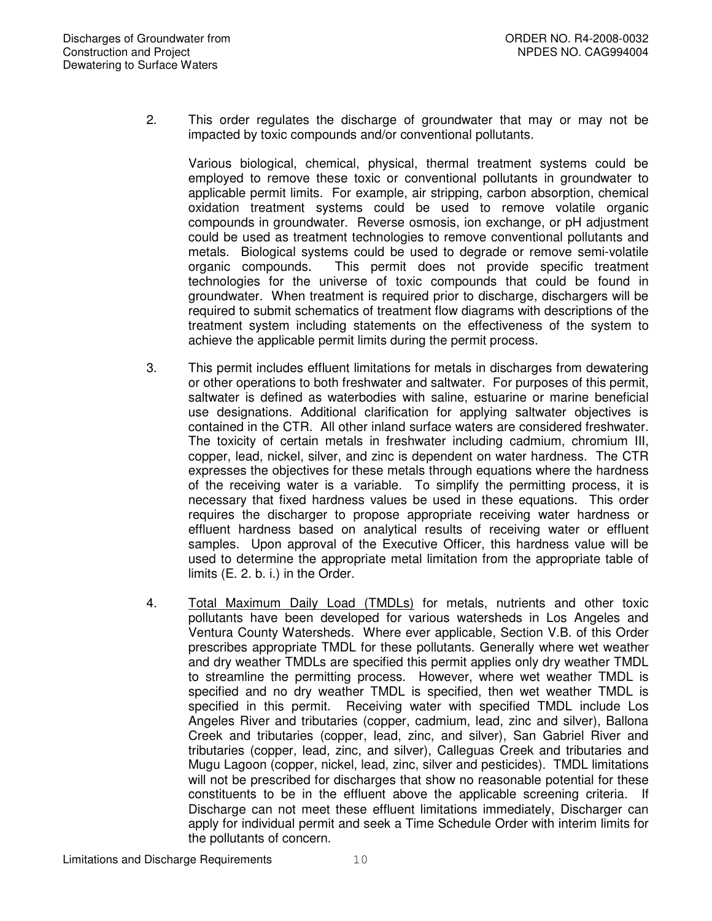2. This order regulates the discharge of groundwater that may or may not be impacted by toxic compounds and/or conventional pollutants.

Various biological, chemical, physical, thermal treatment systems could be employed to remove these toxic or conventional pollutants in groundwater to applicable permit limits. For example, air stripping, carbon absorption, chemical oxidation treatment systems could be used to remove volatile organic compounds in groundwater. Reverse osmosis, ion exchange, or pH adjustment could be used as treatment technologies to remove conventional pollutants and metals. Biological systems could be used to degrade or remove semi-volatile organic compounds. This permit does not provide specific treatment technologies for the universe of toxic compounds that could be found in groundwater. When treatment is required prior to discharge, dischargers will be required to submit schematics of treatment flow diagrams with descriptions of the treatment system including statements on the effectiveness of the system to achieve the applicable permit limits during the permit process.

- 3. This permit includes effluent limitations for metals in discharges from dewatering or other operations to both freshwater and saltwater. For purposes of this permit, saltwater is defined as waterbodies with saline, estuarine or marine beneficial use designations. Additional clarification for applying saltwater objectives is contained in the CTR. All other inland surface waters are considered freshwater. The toxicity of certain metals in freshwater including cadmium, chromium III, copper, lead, nickel, silver, and zinc is dependent on water hardness. The CTR expresses the objectives for these metals through equations where the hardness of the receiving water is a variable. To simplify the permitting process, it is necessary that fixed hardness values be used in these equations. This order requires the discharger to propose appropriate receiving water hardness or effluent hardness based on analytical results of receiving water or effluent samples. Upon approval of the Executive Officer, this hardness value will be used to determine the appropriate metal limitation from the appropriate table of limits (E. 2. b. i.) in the Order.
- 4. Total Maximum Daily Load (TMDLs) for metals, nutrients and other toxic pollutants have been developed for various watersheds in Los Angeles and Ventura County Watersheds. Where ever applicable, Section V.B. of this Order prescribes appropriate TMDL for these pollutants. Generally where wet weather and dry weather TMDLs are specified this permit applies only dry weather TMDL to streamline the permitting process. However, where wet weather TMDL is specified and no dry weather TMDL is specified, then wet weather TMDL is specified in this permit. Receiving water with specified TMDL include Los Angeles River and tributaries (copper, cadmium, lead, zinc and silver), Ballona Creek and tributaries (copper, lead, zinc, and silver), San Gabriel River and tributaries (copper, lead, zinc, and silver), Calleguas Creek and tributaries and Mugu Lagoon (copper, nickel, lead, zinc, silver and pesticides). TMDL limitations will not be prescribed for discharges that show no reasonable potential for these constituents to be in the effluent above the applicable screening criteria. If Discharge can not meet these effluent limitations immediately, Discharger can apply for individual permit and seek a Time Schedule Order with interim limits for the pollutants of concern.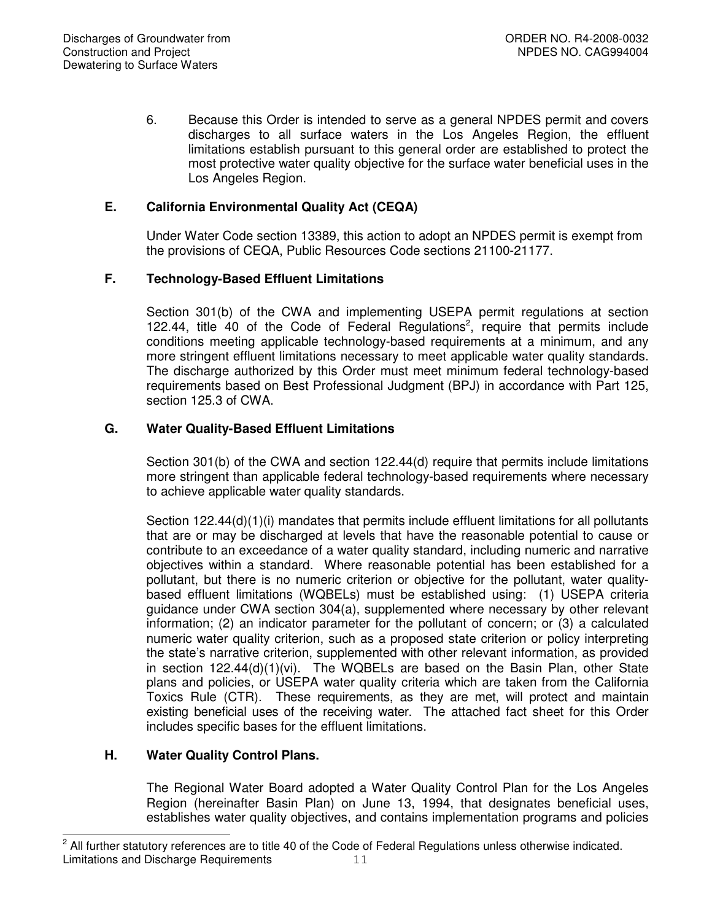6. Because this Order is intended to serve as a general NPDES permit and covers discharges to all surface waters in the Los Angeles Region, the effluent limitations establish pursuant to this general order are established to protect the most protective water quality objective for the surface water beneficial uses in the Los Angeles Region.

# **E. California Environmental Quality Act (CEQA)**

Under Water Code section 13389, this action to adopt an NPDES permit is exempt from the provisions of CEQA, Public Resources Code sections 21100-21177.

# **F. Technology-Based Effluent Limitations**

Section 301(b) of the CWA and implementing USEPA permit regulations at section 122.44, title 40 of the Code of Federal Regulations<sup>2</sup>, require that permits include conditions meeting applicable technology-based requirements at a minimum, and any more stringent effluent limitations necessary to meet applicable water quality standards. The discharge authorized by this Order must meet minimum federal technology-based requirements based on Best Professional Judgment (BPJ) in accordance with Part 125, section 125.3 of CWA.

# **G. Water Quality-Based Effluent Limitations**

Section 301(b) of the CWA and section 122.44(d) require that permits include limitations more stringent than applicable federal technology-based requirements where necessary to achieve applicable water quality standards.

Section 122.44(d)(1)(i) mandates that permits include effluent limitations for all pollutants that are or may be discharged at levels that have the reasonable potential to cause or contribute to an exceedance of a water quality standard, including numeric and narrative objectives within a standard. Where reasonable potential has been established for a pollutant, but there is no numeric criterion or objective for the pollutant, water qualitybased effluent limitations (WQBELs) must be established using: (1) USEPA criteria guidance under CWA section 304(a), supplemented where necessary by other relevant information; (2) an indicator parameter for the pollutant of concern; or (3) a calculated numeric water quality criterion, such as a proposed state criterion or policy interpreting the state's narrative criterion, supplemented with other relevant information, as provided in section  $122.44(d)(1)(vi)$ . The WQBELs are based on the Basin Plan, other State plans and policies, or USEPA water quality criteria which are taken from the California Toxics Rule (CTR). These requirements, as they are met, will protect and maintain existing beneficial uses of the receiving water. The attached fact sheet for this Order includes specific bases for the effluent limitations.

# **H. Water Quality Control Plans.**

The Regional Water Board adopted a Water Quality Control Plan for the Los Angeles Region (hereinafter Basin Plan) on June 13, 1994, that designates beneficial uses, establishes water quality objectives, and contains implementation programs and policies

Limitations and Discharge Requirements 11  $\frac{1}{2}$ All further statutory references are to title 40 of the Code of Federal Regulations unless otherwise indicated.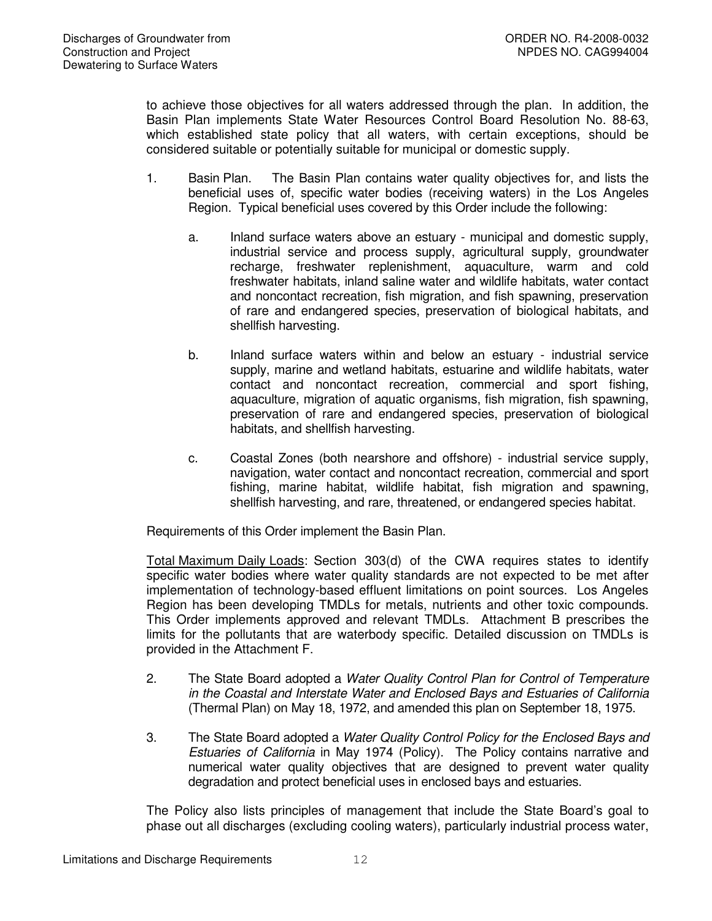to achieve those objectives for all waters addressed through the plan. In addition, the Basin Plan implements State Water Resources Control Board Resolution No. 88-63, which established state policy that all waters, with certain exceptions, should be considered suitable or potentially suitable for municipal or domestic supply.

- 1. Basin Plan. The Basin Plan contains water quality objectives for, and lists the beneficial uses of, specific water bodies (receiving waters) in the Los Angeles Region. Typical beneficial uses covered by this Order include the following:
	- a. Inland surface waters above an estuary municipal and domestic supply, industrial service and process supply, agricultural supply, groundwater recharge, freshwater replenishment, aquaculture, warm and cold freshwater habitats, inland saline water and wildlife habitats, water contact and noncontact recreation, fish migration, and fish spawning, preservation of rare and endangered species, preservation of biological habitats, and shellfish harvesting.
	- b. Inland surface waters within and below an estuary industrial service supply, marine and wetland habitats, estuarine and wildlife habitats, water contact and noncontact recreation, commercial and sport fishing, aquaculture, migration of aquatic organisms, fish migration, fish spawning, preservation of rare and endangered species, preservation of biological habitats, and shellfish harvesting.
	- c. Coastal Zones (both nearshore and offshore) industrial service supply, navigation, water contact and noncontact recreation, commercial and sport fishing, marine habitat, wildlife habitat, fish migration and spawning, shellfish harvesting, and rare, threatened, or endangered species habitat.

Requirements of this Order implement the Basin Plan.

Total Maximum Daily Loads: Section 303(d) of the CWA requires states to identify specific water bodies where water quality standards are not expected to be met after implementation of technology-based effluent limitations on point sources. Los Angeles Region has been developing TMDLs for metals, nutrients and other toxic compounds. This Order implements approved and relevant TMDLs. Attachment B prescribes the limits for the pollutants that are waterbody specific. Detailed discussion on TMDLs is provided in the Attachment F.

- 2. The State Board adopted a *Water Quality Control Plan for Control of Temperature in the Coastal and Interstate Water and Enclosed Bays and Estuaries of California* (Thermal Plan) on May 18, 1972, and amended this plan on September 18, 1975.
- 3. The State Board adopted a *Water Quality Control Policy for the Enclosed Bays and Estuaries of California* in May 1974 (Policy). The Policy contains narrative and numerical water quality objectives that are designed to prevent water quality degradation and protect beneficial uses in enclosed bays and estuaries.

The Policy also lists principles of management that include the State Board's goal to phase out all discharges (excluding cooling waters), particularly industrial process water,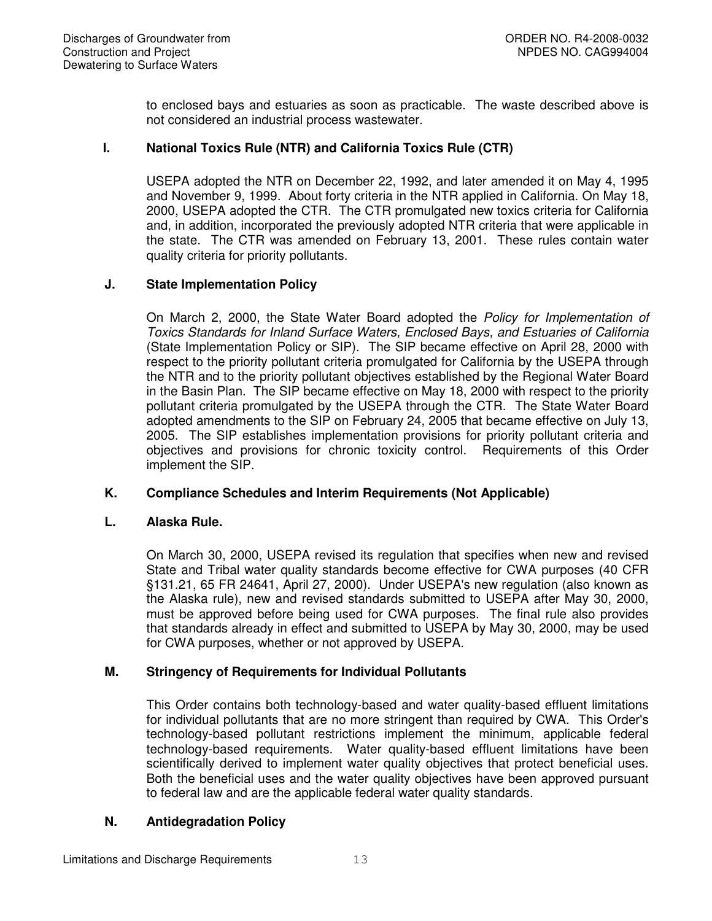to enclosed bays and estuaries as soon as practicable. The waste described above is not considered an industrial process wastewater.

# **I. National Toxics Rule (NTR) and California Toxics Rule (CTR)**

USEPA adopted the NTR on December 22, 1992, and later amended it on May 4, 1995 and November 9, 1999. About forty criteria in the NTR applied in California. On May 18, 2000, USEPA adopted the CTR. The CTR promulgated new toxics criteria for California and, in addition, incorporated the previously adopted NTR criteria that were applicable in the state. The CTR was amended on February 13, 2001. These rules contain water quality criteria for priority pollutants.

# **J. State Implementation Policy**

On March 2, 2000, the State Water Board adopted the *Policy for Implementation of Toxics Standards for Inland Surface Waters, Enclosed Bays, and Estuaries of California* (State Implementation Policy or SIP). The SIP became effective on April 28, 2000 with respect to the priority pollutant criteria promulgated for California by the USEPA through the NTR and to the priority pollutant objectives established by the Regional Water Board in the Basin Plan. The SIP became effective on May 18, 2000 with respect to the priority pollutant criteria promulgated by the USEPA through the CTR. The State Water Board adopted amendments to the SIP on February 24, 2005 that became effective on July 13, 2005. The SIP establishes implementation provisions for priority pollutant criteria and objectives and provisions for chronic toxicity control. Requirements of this Order implement the SIP.

# **K. Compliance Schedules and Interim Requirements (Not Applicable)**

# **L. Alaska Rule.**

On March 30, 2000, USEPA revised its regulation that specifies when new and revised State and Tribal water quality standards become effective for CWA purposes (40 CFR §131.21, 65 FR 24641, April 27, 2000). Under USEPA's new regulation (also known as the Alaska rule), new and revised standards submitted to USEPA after May 30, 2000, must be approved before being used for CWA purposes. The final rule also provides that standards already in effect and submitted to USEPA by May 30, 2000, may be used for CWA purposes, whether or not approved by USEPA.

# **M. Stringency of Requirements for Individual Pollutants**

This Order contains both technology-based and water quality-based effluent limitations for individual pollutants that are no more stringent than required by CWA. This Order's technology-based pollutant restrictions implement the minimum, applicable federal technology-based requirements. Water quality-based effluent limitations have been scientifically derived to implement water quality objectives that protect beneficial uses. Both the beneficial uses and the water quality objectives have been approved pursuant to federal law and are the applicable federal water quality standards.

# **N. Antidegradation Policy**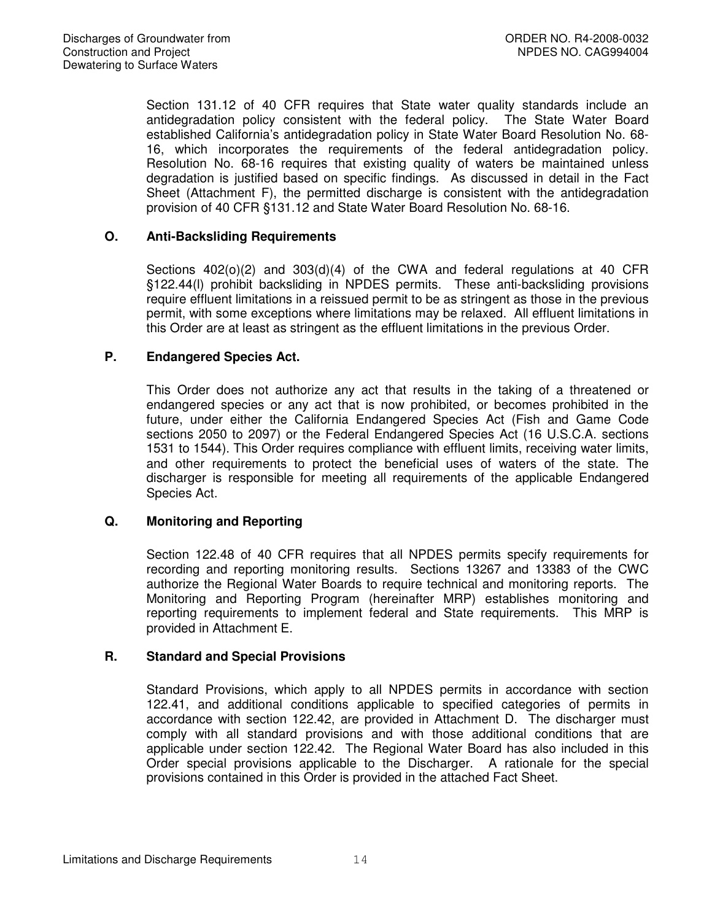Section 131.12 of 40 CFR requires that State water quality standards include an antidegradation policy consistent with the federal policy. The State Water Board established California's antidegradation policy in State Water Board Resolution No. 68- 16, which incorporates the requirements of the federal antidegradation policy. Resolution No. 68-16 requires that existing quality of waters be maintained unless degradation is justified based on specific findings. As discussed in detail in the Fact Sheet (Attachment F), the permitted discharge is consistent with the antidegradation provision of 40 CFR §131.12 and State Water Board Resolution No. 68-16.

# **O. Anti-Backsliding Requirements**

Sections  $402(0)(2)$  and  $303(d)(4)$  of the CWA and federal regulations at 40 CFR §122.44(l) prohibit backsliding in NPDES permits. These anti-backsliding provisions require effluent limitations in a reissued permit to be as stringent as those in the previous permit, with some exceptions where limitations may be relaxed. All effluent limitations in this Order are at least as stringent as the effluent limitations in the previous Order.

## **P. Endangered Species Act.**

This Order does not authorize any act that results in the taking of a threatened or endangered species or any act that is now prohibited, or becomes prohibited in the future, under either the California Endangered Species Act (Fish and Game Code sections 2050 to 2097) or the Federal Endangered Species Act (16 U.S.C.A. sections 1531 to 1544). This Order requires compliance with effluent limits, receiving water limits, and other requirements to protect the beneficial uses of waters of the state. The discharger is responsible for meeting all requirements of the applicable Endangered Species Act.

# **Q. Monitoring and Reporting**

Section 122.48 of 40 CFR requires that all NPDES permits specify requirements for recording and reporting monitoring results. Sections 13267 and 13383 of the CWC authorize the Regional Water Boards to require technical and monitoring reports. The Monitoring and Reporting Program (hereinafter MRP) establishes monitoring and reporting requirements to implement federal and State requirements. This MRP is provided in Attachment E.

#### **R. Standard and Special Provisions**

Standard Provisions, which apply to all NPDES permits in accordance with section 122.41, and additional conditions applicable to specified categories of permits in accordance with section 122.42, are provided in Attachment D. The discharger must comply with all standard provisions and with those additional conditions that are applicable under section 122.42. The Regional Water Board has also included in this Order special provisions applicable to the Discharger. A rationale for the special provisions contained in this Order is provided in the attached Fact Sheet.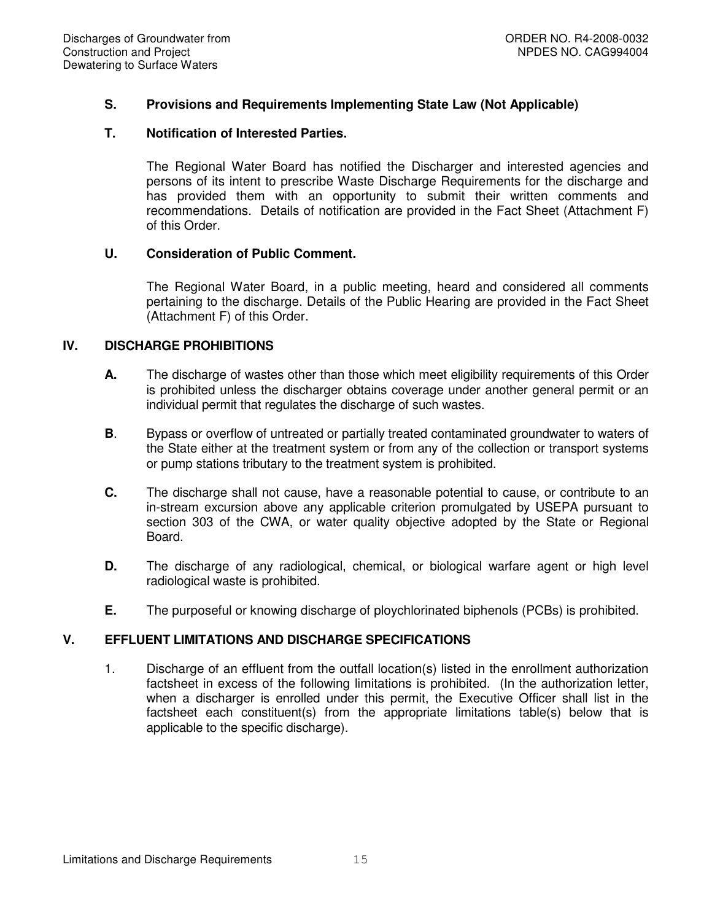# **S. Provisions and Requirements Implementing State Law (Not Applicable)**

#### **T. Notification of Interested Parties.**

The Regional Water Board has notified the Discharger and interested agencies and persons of its intent to prescribe Waste Discharge Requirements for the discharge and has provided them with an opportunity to submit their written comments and recommendations. Details of notification are provided in the Fact Sheet (Attachment F) of this Order.

## **U. Consideration of Public Comment.**

The Regional Water Board, in a public meeting, heard and considered all comments pertaining to the discharge. Details of the Public Hearing are provided in the Fact Sheet (Attachment F) of this Order.

# **IV. DISCHARGE PROHIBITIONS**

- **A.** The discharge of wastes other than those which meet eligibility requirements of this Order is prohibited unless the discharger obtains coverage under another general permit or an individual permit that regulates the discharge of such wastes.
- **B**. Bypass or overflow of untreated or partially treated contaminated groundwater to waters of the State either at the treatment system or from any of the collection or transport systems or pump stations tributary to the treatment system is prohibited.
- **C.** The discharge shall not cause, have a reasonable potential to cause, or contribute to an in-stream excursion above any applicable criterion promulgated by USEPA pursuant to section 303 of the CWA, or water quality objective adopted by the State or Regional Board.
- **D.** The discharge of any radiological, chemical, or biological warfare agent or high level radiological waste is prohibited.
- **E.** The purposeful or knowing discharge of ploychlorinated biphenols (PCBs) is prohibited.

# **V. EFFLUENT LIMITATIONS AND DISCHARGE SPECIFICATIONS**

1. Discharge of an effluent from the outfall location(s) listed in the enrollment authorization factsheet in excess of the following limitations is prohibited. (In the authorization letter, when a discharger is enrolled under this permit, the Executive Officer shall list in the factsheet each constituent(s) from the appropriate limitations table(s) below that is applicable to the specific discharge).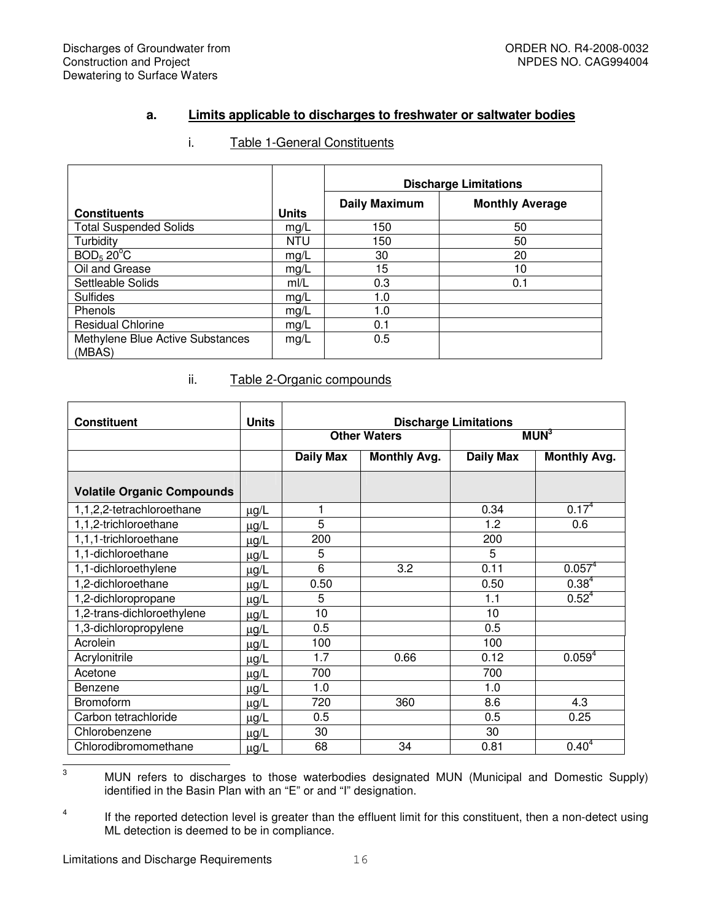## **a. Limits applicable to discharges to freshwater or saltwater bodies**

|                                            |              | <b>Discharge Limitations</b> |                        |  |  |  |  |
|--------------------------------------------|--------------|------------------------------|------------------------|--|--|--|--|
| <b>Constituents</b>                        | <b>Units</b> | <b>Daily Maximum</b>         | <b>Monthly Average</b> |  |  |  |  |
| <b>Total Suspended Solids</b>              | mg/L         | 150                          | 50                     |  |  |  |  |
| Turbidity                                  | <b>NTU</b>   | 150                          | 50                     |  |  |  |  |
| BOD <sub>5</sub> 20 <sup>°</sup> C         | mg/L         | 30                           | 20                     |  |  |  |  |
| Oil and Grease                             | mg/L         | 15                           | 10                     |  |  |  |  |
| Settleable Solids                          | m/L          | 0.3                          | 0.1                    |  |  |  |  |
| <b>Sulfides</b>                            | mg/L         | 1.0                          |                        |  |  |  |  |
| Phenols                                    | mg/L         | 1.0                          |                        |  |  |  |  |
| <b>Residual Chlorine</b>                   | mg/L         | 0.1                          |                        |  |  |  |  |
| Methylene Blue Active Substances<br>(MBAS) | mg/L         | 0.5                          |                        |  |  |  |  |

# i. Table 1-General Constituents

## ii. Table 2-Organic compounds

| <b>Units</b><br><b>Constituent</b><br><b>Discharge Limitations</b> |           |                  |                     |                  |                     |  |  |  |
|--------------------------------------------------------------------|-----------|------------------|---------------------|------------------|---------------------|--|--|--|
|                                                                    |           |                  | <b>Other Waters</b> |                  | MUN <sup>3</sup>    |  |  |  |
|                                                                    |           | <b>Daily Max</b> | <b>Monthly Avg.</b> | <b>Daily Max</b> | <b>Monthly Avg.</b> |  |  |  |
| <b>Volatile Organic Compounds</b>                                  |           |                  |                     |                  |                     |  |  |  |
| 1,1,2,2-tetrachloroethane                                          | $\mu$ g/L | 1                |                     | 0.34             | 0.17 <sup>4</sup>   |  |  |  |
| 1,1,2-trichloroethane                                              | $\mu$ g/L | 5                |                     | 1.2              | 0.6                 |  |  |  |
| 1,1,1-trichloroethane                                              | $\mu$ g/L | 200              |                     | 200              |                     |  |  |  |
| 1,1-dichloroethane                                                 | $\mu$ g/L | 5                |                     | 5                |                     |  |  |  |
| 1,1-dichloroethylene                                               | $\mu$ g/L | 6                | 3.2                 | 0.11             | $0.057^{4}$         |  |  |  |
| 1,2-dichloroethane                                                 | $\mu$ g/L | 0.50             |                     | 0.50             | $0.38^{4}$          |  |  |  |
| 1,2-dichloropropane                                                | $\mu$ g/L | 5                |                     | 1.1              | $0.52^{4}$          |  |  |  |
| 1,2-trans-dichloroethylene                                         | $\mu$ g/L | 10               |                     | 10               |                     |  |  |  |
| 1,3-dichloropropylene                                              | $\mu$ g/L | 0.5              |                     | 0.5              |                     |  |  |  |
| Acrolein                                                           | $\mu$ g/L | 100              |                     | 100              |                     |  |  |  |
| Acrylonitrile                                                      | $\mu$ g/L | 1.7              | 0.66                | 0.12             | $0.059^{4}$         |  |  |  |
| Acetone                                                            | $\mu$ g/L | 700              |                     | 700              |                     |  |  |  |
| Benzene                                                            | $\mu$ g/L | 1.0              |                     | 1.0              |                     |  |  |  |
| <b>Bromoform</b>                                                   | $\mu$ g/L | 720              | 360                 | 8.6              | 4.3                 |  |  |  |
| Carbon tetrachloride                                               | $\mu$ g/L | 0.5              |                     | 0.5              | 0.25                |  |  |  |
| Chlorobenzene                                                      | $\mu$ g/L | 30               |                     | 30               |                     |  |  |  |
| Chlorodibromomethane                                               | $\mu$ g/L | 68               | 34                  | 0.81             | $0.40^{4}$          |  |  |  |

 $\ensuremath{\mathsf{3}}$ <sup>3</sup> MUN refers to discharges to those waterbodies designated MUN (Municipal and Domestic Supply) identified in the Basin Plan with an "E" or and "I" designation.

4 If the reported detection level is greater than the effluent limit for this constituent, then a non-detect using ML detection is deemed to be in compliance.

Limitations and Discharge Requirements 16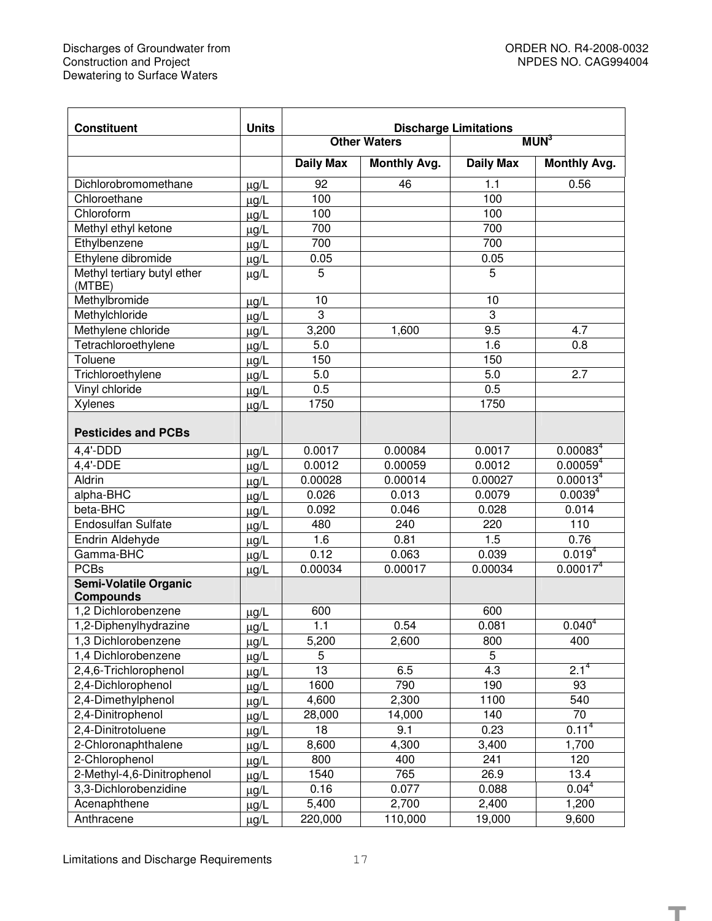$\overline{\phantom{0}}$ 

**T**

| <b>Constituent</b>                    | <b>Units</b><br><b>Discharge Limitations</b> |                                         |                     |                  |                      |  |  |  |
|---------------------------------------|----------------------------------------------|-----------------------------------------|---------------------|------------------|----------------------|--|--|--|
|                                       |                                              | MUN <sup>3</sup><br><b>Other Waters</b> |                     |                  |                      |  |  |  |
|                                       |                                              | <b>Daily Max</b>                        | <b>Monthly Avg.</b> | <b>Daily Max</b> | <b>Monthly Avg.</b>  |  |  |  |
| Dichlorobromomethane                  | $\mu$ g/L                                    | 92                                      | 46                  | 1.1              | 0.56                 |  |  |  |
| Chloroethane                          | $\mu$ g/L                                    | 100                                     |                     | 100              |                      |  |  |  |
| Chloroform                            | $\mu$ g/L                                    | 100                                     |                     | 100              |                      |  |  |  |
| Methyl ethyl ketone                   | $\mu$ g/L                                    | 700                                     |                     | 700              |                      |  |  |  |
| Ethylbenzene                          | $\mu$ g/L                                    | 700                                     |                     | 700              |                      |  |  |  |
| Ethylene dibromide                    | $\mu$ g/L                                    | 0.05                                    |                     | 0.05             |                      |  |  |  |
| Methyl tertiary butyl ether<br>(MTBE) | $\mu$ g/L                                    | 5                                       |                     | 5                |                      |  |  |  |
| Methylbromide                         | $\mu$ g/L                                    | 10                                      |                     | 10               |                      |  |  |  |
| Methylchloride                        | $\mu g/L$                                    | $\overline{3}$                          |                     | $\overline{3}$   |                      |  |  |  |
| Methylene chloride                    | $\mu$ g/L                                    | 3,200                                   | 1,600               | 9.5              | 4.7                  |  |  |  |
| Tetrachloroethylene                   | $\mu$ g/L                                    | $\overline{5.0}$                        |                     | 1.6              | 0.8                  |  |  |  |
| Toluene                               | $\mu$ g/L                                    | 150                                     |                     | 150              |                      |  |  |  |
| Trichloroethylene                     | $\mu$ g/L                                    | 5.0                                     |                     | 5.0              | $\overline{2.7}$     |  |  |  |
| Vinyl chloride                        | $\mu$ g/L                                    | 0.5                                     |                     | 0.5              |                      |  |  |  |
| Xylenes                               | $\mu$ g/L                                    | 1750                                    |                     | 1750             |                      |  |  |  |
| <b>Pesticides and PCBs</b>            |                                              |                                         |                     |                  |                      |  |  |  |
| 4,4'-DDD                              | $\mu$ g/L                                    | 0.0017                                  | 0.00084             | 0.0017           | 0.00083 <sup>4</sup> |  |  |  |
| 4,4'-DDE                              | $\mu$ g/L                                    | 0.0012                                  | 0.00059             | 0.0012           | $0.00059^{4}$        |  |  |  |
| Aldrin                                | $\mu$ g/L                                    | 0.00028                                 | 0.00014             | 0.00027          | 0.00013 <sup>4</sup> |  |  |  |
| alpha-BHC                             | $\mu$ g/L                                    | 0.026                                   | 0.013               | 0.0079           | $0.0039^{4}$         |  |  |  |
| beta-BHC                              | $\mu$ g/L                                    | 0.092                                   | 0.046               | 0.028            | 0.014                |  |  |  |
| <b>Endosulfan Sulfate</b>             | $\mu g/L$                                    | 480                                     | 240                 | 220              | 110                  |  |  |  |
| Endrin Aldehyde                       | $\mu$ g/L                                    | 1.6                                     | 0.81                | 1.5              | 0.76                 |  |  |  |
| Gamma-BHC                             | $\mu$ g/L                                    | 0.12                                    | 0.063               | 0.039            | 0.019 <sup>4</sup>   |  |  |  |
| <b>PCBs</b>                           | $\mu$ g/L                                    | 0.00034                                 | 0.00017             | 0.00034          | 0.00017 <sup>4</sup> |  |  |  |
| <b>Semi-Volatile Organic</b>          |                                              |                                         |                     |                  |                      |  |  |  |
| <b>Compounds</b>                      |                                              |                                         |                     |                  |                      |  |  |  |
| 1,2 Dichlorobenzene                   | $\mu$ g/L                                    | 600                                     |                     | 600              |                      |  |  |  |
| 1,2-Diphenylhydrazine                 | $\mu$ g/L                                    | 1.1                                     | 0.54                | 0.081            | $0.040^{4}$          |  |  |  |
| 1,3 Dichlorobenzene                   | $\mu$ g/L                                    | 5,200                                   | 2,600               | 800              | 400                  |  |  |  |
| 1,4 Dichlorobenzene                   | $\mu$ g/L                                    | 5                                       |                     | 5                |                      |  |  |  |
| 2,4,6-Trichlorophenol                 | $\mu$ g/L                                    | 13                                      | 6.5                 | 4.3              | $2.1^{4}$            |  |  |  |
| 2,4-Dichlorophenol                    | $\mu$ g/L                                    | 1600                                    | 790                 | 190              | 93                   |  |  |  |
| 2,4-Dimethylphenol                    | $\mu$ g/L                                    | $\overline{4,600}$                      | 2,300               | 1100             | 540                  |  |  |  |
| 2,4-Dinitrophenol                     | $\mu$ g/L                                    | 28,000                                  | 14,000              | 140              | 70                   |  |  |  |
| 2,4-Dinitrotoluene                    | $\mu$ g/L                                    | 18                                      | 9.1                 | 0.23             | $0.11^{4}$           |  |  |  |
| 2-Chloronaphthalene                   | $\mu$ g/L                                    | 8,600                                   | 4,300               | 3,400            | 1,700                |  |  |  |
| 2-Chlorophenol                        | $\mu$ g/L                                    | 800                                     | 400                 | 241              | 120                  |  |  |  |
| 2-Methyl-4,6-Dinitrophenol            | $\mu$ g/L                                    | 1540                                    | 765                 | 26.9             | 13.4                 |  |  |  |
| 3,3-Dichlorobenzidine                 | $\mu$ g/L                                    | 0.16                                    | 0.077               | 0.088            | $0.04^{4}$           |  |  |  |
| Acenaphthene                          | $\mu$ g/L                                    | 5,400                                   | 2,700               | 2,400            | 1,200                |  |  |  |
| Anthracene                            | $\mu$ g/L                                    | 220,000                                 | 110,000             | 19,000           | 9,600                |  |  |  |

Limitations and Discharge Requirements 17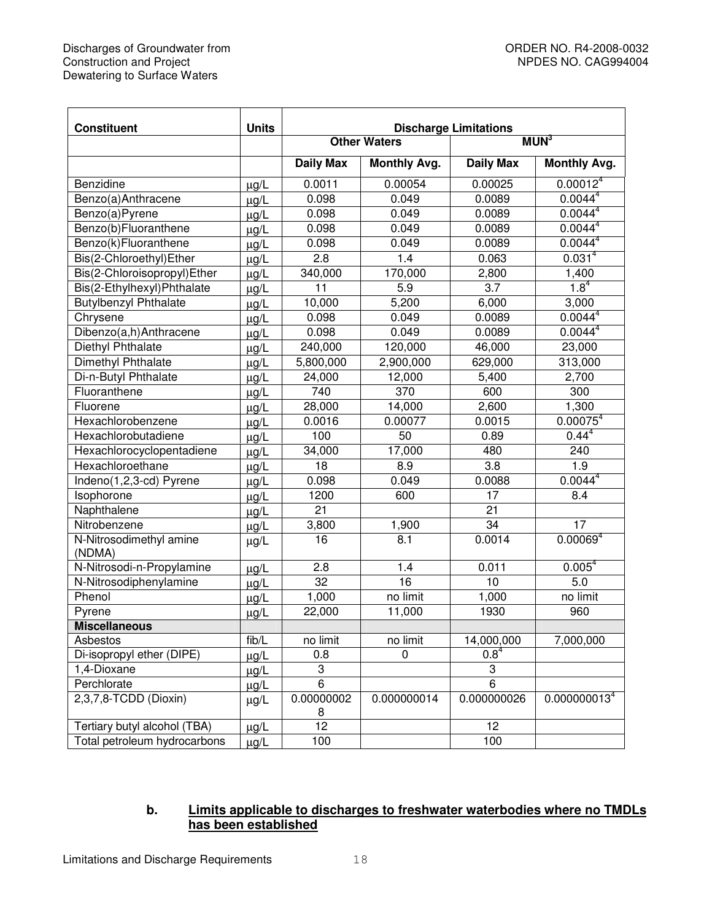| <b>Constituent</b>                | <b>Units</b> |                     |                     |                              |                          |  |
|-----------------------------------|--------------|---------------------|---------------------|------------------------------|--------------------------|--|
|                                   |              |                     | <b>Other Waters</b> | <b>Discharge Limitations</b> | MUN <sup>3</sup>         |  |
|                                   |              | <b>Daily Max</b>    | <b>Monthly Avg.</b> | <b>Daily Max</b>             | <b>Monthly Avg.</b>      |  |
| Benzidine                         | $\mu$ g/L    | 0.0011              | 0.00054             | 0.00025                      | 0.00012 <sup>4</sup>     |  |
| Benzo(a)Anthracene                | $\mu$ g/L    | 0.098               | 0.049               | 0.0089                       | 0.0044 <sup>4</sup>      |  |
| Benzo(a)Pyrene                    | $\mu$ g/L    | 0.098               | 0.049               | 0.0089                       | 0.0044 <sup>4</sup>      |  |
| Benzo(b)Fluoranthene              | $\mu$ g/L    | 0.098               | 0.049               | 0.0089                       | 0.0044 <sup>4</sup>      |  |
| Benzo(k)Fluoranthene              | $\mu$ g/L    | 0.098               | 0.049               | 0.0089                       | 0.0044 <sup>4</sup>      |  |
| Bis(2-Chloroethyl)Ether           | $\mu$ g/L    | 2.8                 | 1.4                 | 0.063                        | 0.031 <sup>4</sup>       |  |
| Bis(2-Chloroisopropyl)Ether       | $\mu$ g/L    | 340,000             | 170,000             | 2,800                        | 1,400                    |  |
| Bis(2-Ethylhexyl)Phthalate        | $\mu$ g/L    | 11                  | 5.9                 | 3.7                          | $1.8^{4}$                |  |
| <b>Butylbenzyl Phthalate</b>      | $\mu$ g/L    | 10,000              | 5,200               | 6,000                        | 3,000                    |  |
| Chrysene                          | $\mu$ g/L    | 0.098               | 0.049               | 0.0089                       | 0.0044 <sup>4</sup>      |  |
| Dibenzo(a,h)Anthracene            | $\mu$ g/L    | 0.098               | 0.049               | 0.0089                       | 0.0044 <sup>4</sup>      |  |
| Diethyl Phthalate                 | $\mu$ g/L    | 240,000             | 120,000             | 46,000                       | 23,000                   |  |
| Dimethyl Phthalate                | $\mu$ g/L    | 5,800,000           | 2,900,000           | 629,000                      | 313,000                  |  |
| Di-n-Butyl Phthalate              | $\mu$ g/L    | 24,000              | 12,000              | 5,400                        | 2,700                    |  |
| Fluoranthene                      | $\mu$ g/L    | 740                 | $\overline{370}$    |                              | 300                      |  |
| Fluorene                          | $\mu$ g/L    | 28,000              | 14,000              | 2,600                        | 1,300                    |  |
| Hexachlorobenzene                 | $\mu$ g/L    | 0.0016              | 0.00077             | 0.0015                       | 0.00075 <sup>4</sup>     |  |
| Hexachlorobutadiene               | $\mu$ g/L    | 100                 | 50                  | 0.89                         | $0.44^{4}$               |  |
| Hexachlorocyclopentadiene         | $\mu$ g/L    | $\overline{3}4,000$ | 17,000              | 480                          | 240                      |  |
| Hexachloroethane                  | $\mu$ g/L    | 18                  | 8.9                 | 3.8                          | 1.9                      |  |
| Indeno(1,2,3-cd) Pyrene           | $\mu$ g/L    | 0.098               | 0.049               | 0.0088                       | 0.0044 <sup>4</sup>      |  |
| Isophorone                        | $\mu$ g/L    | 1200                | 600                 | 17                           | 8.4                      |  |
| Naphthalene                       | $\mu$ g/L    | 21                  |                     | $\overline{21}$              |                          |  |
| Nitrobenzene                      | $\mu$ g/L    | 3,800               | 1,900               | $\overline{34}$              | 17                       |  |
| N-Nitrosodimethyl amine<br>(NDMA) | $\mu$ g/L    | 16                  | 8.1                 | 0.0014                       | 0.00069 <sup>4</sup>     |  |
| N-Nitrosodi-n-Propylamine         | $\mu$ g/L    | 2.8                 | 1.4                 | 0.011                        | 0.005 <sup>4</sup>       |  |
| N-Nitrosodiphenylamine            | $\mu$ g/L    | 32                  | 16                  | 10                           | 5.0                      |  |
| Phenol                            | $\mu$ g/L    | 1,000               | no limit            | 1,000                        | no limit                 |  |
| Pyrene                            | $\mu$ g/L    | 22,000              | 11,000              | 1930                         | 960                      |  |
| <b>Miscellaneous</b>              |              |                     |                     |                              |                          |  |
| Asbestos                          | fib/L        | no limit            | no limit            | 14,000,000                   | 7,000,000                |  |
| Di-isopropyl ether (DIPE)         | $\mu$ g/L    | 0.8                 | 0                   | $0.8^{4}$                    |                          |  |
| 1,4-Dioxane                       | $\mu$ g/L    | 3                   |                     | 3                            |                          |  |
| Perchlorate                       | $\mu$ g/L    | $\overline{6}$      |                     | $\overline{6}$               |                          |  |
| 2,3,7,8-TCDD (Dioxin)             | $\mu$ g/L    | 0.00000002          | 0.000000014         | 0.000000026                  | 0.000000013 <sup>4</sup> |  |
| Tertiary butyl alcohol (TBA)      | $\mu$ g/L    | $\frac{8}{12}$      |                     | 12                           |                          |  |
| Total petroleum hydrocarbons      | $\mu$ g/L    | 100                 |                     | 100                          |                          |  |

# **b. Limits applicable to discharges to freshwater waterbodies where no TMDLs has been established**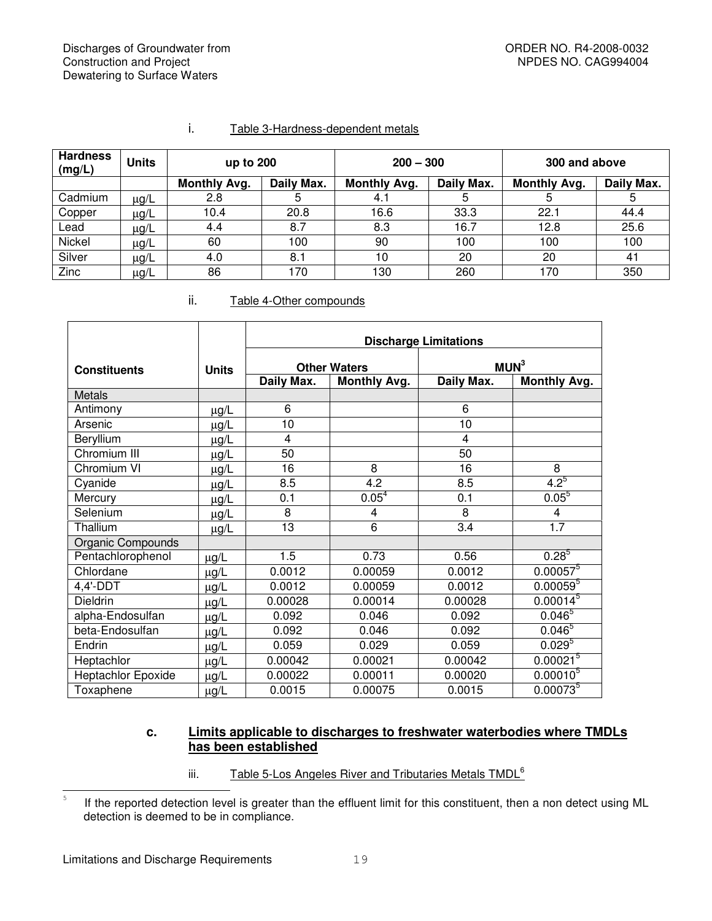| <b>Hardness</b><br>(mg/L) | <b>Units</b> | up to 200           |            | $200 - 300$         |            | 300 and above       |            |  |
|---------------------------|--------------|---------------------|------------|---------------------|------------|---------------------|------------|--|
|                           |              | <b>Monthly Avg.</b> | Daily Max. | <b>Monthly Avg.</b> | Daily Max. | <b>Monthly Avg.</b> | Daily Max. |  |
| Cadmium                   | μg/L         | 2.8                 | 5          | 4.1                 | 5          | 5                   | ხ          |  |
| Copper                    | $\mu$ g/L    | 10.4                | 20.8       | 16.6                | 33.3       | 22.1                | 44.4       |  |
| Lead                      | $\mu$ g/L    | 4.4                 | 8.7        | 8.3                 | 16.7       | 12.8                | 25.6       |  |
| Nickel                    | μg/L         | 60                  | 100        | 90                  | 100        | 100                 | 100        |  |
| Silver                    | $\mu$ g/L    | 4.0                 | 8.1        | 10                  | 20         | 20                  | 41         |  |
| Zinc                      | $\mu$ g/L    | 86                  | 170        | 130                 | 260        | 170                 | 350        |  |

# i. Table 3-Hardness-dependent metals

#### ii. Table 4-Other compounds

|                     |              | <b>Discharge Limitations</b> |                     |                  |                        |  |  |  |  |  |
|---------------------|--------------|------------------------------|---------------------|------------------|------------------------|--|--|--|--|--|
| <b>Constituents</b> | <b>Units</b> |                              | <b>Other Waters</b> | MUN <sup>3</sup> |                        |  |  |  |  |  |
|                     |              | Daily Max.                   | <b>Monthly Avg.</b> | Daily Max.       | <b>Monthly Avg.</b>    |  |  |  |  |  |
| <b>Metals</b>       |              |                              |                     |                  |                        |  |  |  |  |  |
| Antimony            | $\mu$ g/L    | 6                            |                     | 6                |                        |  |  |  |  |  |
| Arsenic             | $\mu$ g/L    | 10                           |                     | 10               |                        |  |  |  |  |  |
| Beryllium           | $\mu$ g/L    | $\overline{4}$               |                     | 4                |                        |  |  |  |  |  |
| Chromium III        | $\mu$ g/L    | 50                           |                     | 50               |                        |  |  |  |  |  |
| Chromium VI         | $\mu$ g/L    | 16                           | 8                   | 16               | 8                      |  |  |  |  |  |
| Cyanide             | $\mu$ g/L    | 8.5                          | 4.2                 | 8.5              | $4.2^{5}$              |  |  |  |  |  |
| Mercury             | $\mu$ g/L    | 0.1                          | 0.05 <sup>4</sup>   | 0.1              | $0.05^{5}$             |  |  |  |  |  |
| Selenium            | $\mu$ g/L    | 8                            | 4                   | 8                | 4                      |  |  |  |  |  |
| Thallium            | $\mu$ g/L    | 13                           | 6                   | 3.4              | $\overline{1.7}$       |  |  |  |  |  |
| Organic Compounds   |              |                              |                     |                  |                        |  |  |  |  |  |
| Pentachlorophenol   | $\mu$ g/L    | 1.5                          | 0.73                | 0.56             | $0.28^{5}$             |  |  |  |  |  |
| Chlordane           | µg/L         | 0.0012                       | 0.00059             | 0.0012           | $0.00057$ <sup>5</sup> |  |  |  |  |  |
| 4,4'-DDT            | $\mu$ g/L    | 0.0012                       | 0.00059             | 0.0012           | $0.00059^{5}$          |  |  |  |  |  |
| Dieldrin            | µg/L         | 0.00028                      | 0.00014             | 0.00028          | $0.00014^{5}$          |  |  |  |  |  |
| alpha-Endosulfan    | $\mu$ g/L    | 0.092                        | 0.046               | 0.092            | $0.046^{5}$            |  |  |  |  |  |
| beta-Endosulfan     | µg/L         | 0.092                        | 0.046               | 0.092            | $0.046^{5}$            |  |  |  |  |  |
| Endrin              | $\mu$ g/L    | 0.059                        | 0.029               | 0.059            | $0.029^{5}$            |  |  |  |  |  |
| Heptachlor          | µg/L         | 0.00042                      | 0.00021             | 0.00042          | $0.00021^{5}$          |  |  |  |  |  |
| Heptachlor Epoxide  | µg/L         | 0.00022                      | 0.00011             | 0.00020          | $0.00010^{5}$          |  |  |  |  |  |
| Toxaphene           | µg/L         | 0.0015                       | 0.00075             | 0.0015           | $0.00073^{5}$          |  |  |  |  |  |

#### **c. Limits applicable to discharges to freshwater waterbodies where TMDLs has been established**

iii. Table 5-Los Angeles River and Tributaries Metals TMDL<sup>6</sup>

 $\frac{1}{5}$ If the reported detection level is greater than the effluent limit for this constituent, then a non detect using ML detection is deemed to be in compliance.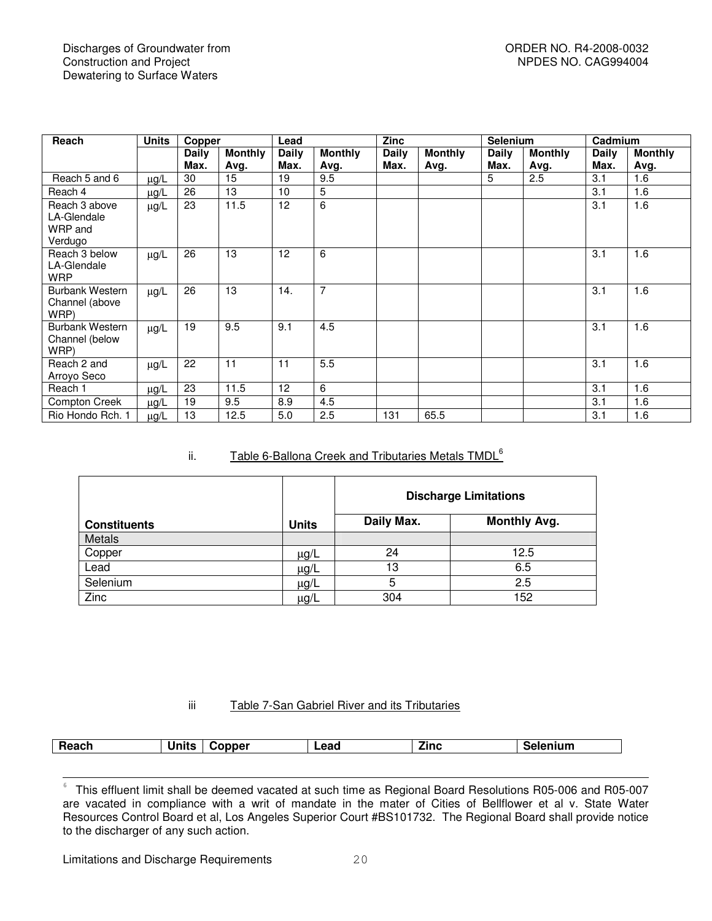| Reach                                              | <b>Units</b> | Copper       |                | Lead            |                | <b>Zinc</b> |                | <b>Selenium</b> |                | Cadmium |                |
|----------------------------------------------------|--------------|--------------|----------------|-----------------|----------------|-------------|----------------|-----------------|----------------|---------|----------------|
|                                                    |              | <b>Daily</b> | <b>Monthly</b> | <b>Daily</b>    | <b>Monthly</b> | Daily       | <b>Monthly</b> | Daily           | <b>Monthly</b> | Daily   | <b>Monthly</b> |
|                                                    |              | Max.         | Avg.           | Max.            | Avg.           | Max.        | Avg.           | Max.            | Avg.           | Max.    | Avg.           |
| Reach 5 and 6                                      | $\mu$ g/L    | 30           | 15             | 19              | 9.5            |             |                | 5               | 2.5            | 3.1     | 1.6            |
| Reach 4                                            | $\mu$ g/L    | 26           | 13             | 10              | 5              |             |                |                 |                | 3.1     | 1.6            |
| Reach 3 above<br>LA-Glendale<br>WRP and<br>Verdugo | $\mu$ g/L    | 23           | 11.5           | 12              | 6              |             |                |                 |                | 3.1     | 1.6            |
| Reach 3 below<br>LA-Glendale<br><b>WRP</b>         | $\mu$ g/L    | 26           | 13             | 12 <sup>2</sup> | 6              |             |                |                 |                | 3.1     | 1.6            |
| <b>Burbank Western</b><br>Channel (above<br>WRP)   | $\mu$ g/L    | 26           | 13             | 14.             | $\overline{7}$ |             |                |                 |                | 3.1     | 1.6            |
| <b>Burbank Western</b><br>Channel (below<br>WRP)   | $\mu$ g/L    | 19           | 9.5            | 9.1             | 4.5            |             |                |                 |                | 3.1     | 1.6            |
| Reach 2 and<br>Arroyo Seco                         | $\mu$ g/L    | 22           | 11             | 11              | 5.5            |             |                |                 |                | 3.1     | 1.6            |
| Reach 1                                            | $\mu$ g/L    | 23           | 11.5           | 12              | 6              |             |                |                 |                | 3.1     | 1.6            |
| Compton Creek                                      | $\mu$ g/L    | 19           | 9.5            | 8.9             | 4.5            |             |                |                 |                | 3.1     | 1.6            |
| Rio Hondo Rch. 1                                   | $\mu$ g/L    | 13           | 12.5           | 5.0             | 2.5            | 131         | 65.5           |                 |                | 3.1     | 1.6            |

#### ii. Table 6-Ballona Creek and Tributaries Metals TMDL<sup>6</sup>

|                     |              | <b>Discharge Limitations</b> |                     |  |
|---------------------|--------------|------------------------------|---------------------|--|
| <b>Constituents</b> | <b>Units</b> | Daily Max.                   | <b>Monthly Avg.</b> |  |
| Metals              |              |                              |                     |  |
| Copper              | $\mu$ g/L    | 24                           | 12.5                |  |
| Lead                | μg/L         | 13                           | 6.5                 |  |
| Selenium            | $\mu$ g/L    | 5                            | 2.5                 |  |
| Zinc                | $\mu$ g/L    | 304                          | 152                 |  |

#### iii Table 7-San Gabriel River and its Tributaries

| Reach | $11 - 11 -$<br>. | opper | Lead | --<br>Zinc | <b>nium</b> |
|-------|------------------|-------|------|------------|-------------|
|       |                  |       |      |            |             |

 $rac{1}{6}$ This effluent limit shall be deemed vacated at such time as Regional Board Resolutions R05-006 and R05-007 are vacated in compliance with a writ of mandate in the mater of Cities of Bellflower et al v. State Water Resources Control Board et al, Los Angeles Superior Court #BS101732. The Regional Board shall provide notice to the discharger of any such action.

Limitations and Discharge Requirements 20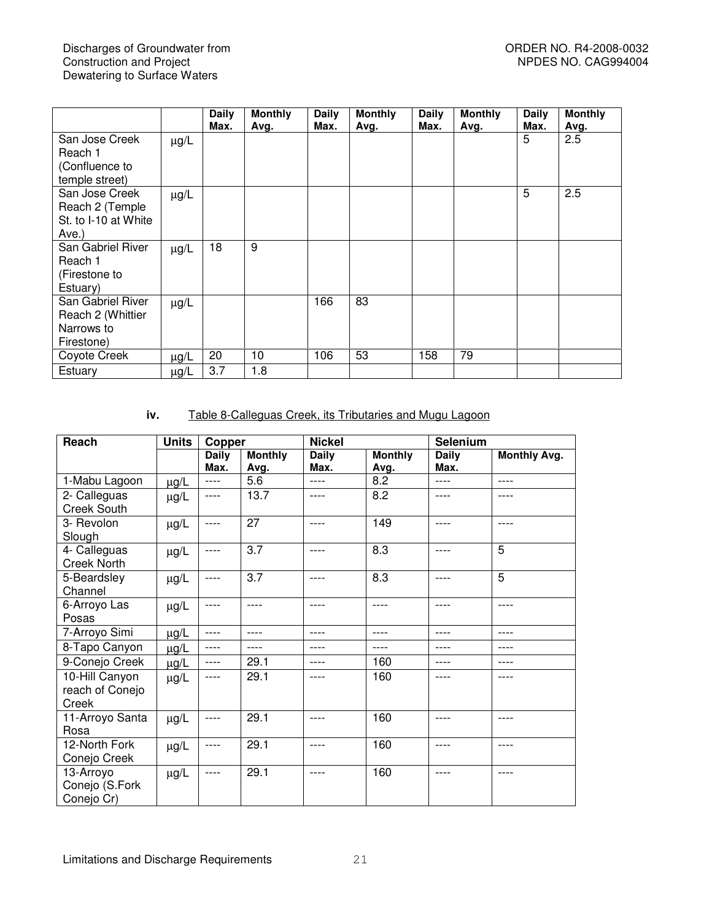|                                                                    |           | <b>Daily</b><br>Max. | <b>Monthly</b><br>Avg. | Daily<br>Max. | <b>Monthly</b><br>Avg. | Daily<br>Max. | <b>Monthly</b><br>Avg. | <b>Daily</b><br>Max. | <b>Monthly</b><br>Avg. |
|--------------------------------------------------------------------|-----------|----------------------|------------------------|---------------|------------------------|---------------|------------------------|----------------------|------------------------|
| San Jose Creek<br>Reach 1<br>(Confluence to<br>temple street)      | $\mu$ g/L |                      |                        |               |                        |               |                        | 5                    | 2.5                    |
| San Jose Creek<br>Reach 2 (Temple<br>St. to I-10 at White<br>Ave.) | $\mu$ g/L |                      |                        |               |                        |               |                        | 5                    | 2.5                    |
| San Gabriel River<br>Reach 1<br>(Firestone to<br>Estuary)          | $\mu$ g/L | 18                   | 9                      |               |                        |               |                        |                      |                        |
| San Gabriel River<br>Reach 2 (Whittier<br>Narrows to<br>Firestone) | $\mu$ g/L |                      |                        | 166           | 83                     |               |                        |                      |                        |
| Coyote Creek                                                       | $\mu$ g/L | 20                   | 10                     | 106           | 53                     | 158           | 79                     |                      |                        |
| Estuary                                                            | $\mu$ g/L | 3.7                  | 1.8                    |               |                        |               |                        |                      |                        |

# **iv.** Table 8-Calleguas Creek, its Tributaries and Mugu Lagoon

| Reach                                      | <b>Units</b> | Copper               |                        | <b>Nickel</b>        |                        | <b>Selenium</b>      |                     |
|--------------------------------------------|--------------|----------------------|------------------------|----------------------|------------------------|----------------------|---------------------|
|                                            |              | <b>Daily</b><br>Max. | <b>Monthly</b><br>Avg. | <b>Daily</b><br>Max. | <b>Monthly</b><br>Avg. | <b>Daily</b><br>Max. | <b>Monthly Avg.</b> |
| 1-Mabu Lagoon                              | $\mu$ g/L    | ----                 | 5.6                    | ----                 | 8.2                    | $---$                | ----                |
| 2- Calleguas<br><b>Creek South</b>         | $\mu$ g/L    | ----                 | 13.7                   | ----                 | 8.2                    | ----                 | ----                |
| 3- Revolon<br>Slough                       | $\mu$ g/L    | ----                 | 27                     | $--- -$              | 149                    | ----                 | ----                |
| 4- Calleguas<br><b>Creek North</b>         | $\mu$ g/L    | ----                 | 3.7                    | ----                 | 8.3                    | ----                 | 5                   |
| 5-Beardsley<br>Channel                     | $\mu g/L$    | ----                 | 3.7                    | ----                 | 8.3                    | ----                 | 5                   |
| 6-Arroyo Las<br>Posas                      | $\mu$ g/L    | ----                 | ----                   | ----                 | ----                   | ----                 | ----                |
| 7-Arroyo Simi                              | $\mu$ g/L    | ----                 | ----                   | ----                 | ----                   | ----                 | ----                |
| 8-Tapo Canyon                              | $\mu$ g/L    | ----                 | ----                   | ----                 | ----                   | ----                 | ----                |
| 9-Conejo Creek                             | $\mu$ g/L    | ----                 | 29.1                   | ----                 | 160                    | ----                 | ----                |
| 10-Hill Canyon<br>reach of Conejo<br>Creek | $\mu g/L$    | ----                 | 29.1                   |                      | 160                    | ----                 | ----                |
| 11-Arroyo Santa<br>Rosa                    | $\mu$ g/L    | ----                 | 29.1                   | ----                 | 160                    | ----                 | ----                |
| 12-North Fork<br>Conejo Creek              | $\mu$ g/L    | ----                 | 29.1                   | ----                 | 160                    | ----                 | ----                |
| 13-Arroyo<br>Conejo (S.Fork<br>Conejo Cr)  | $\mu$ g/L    | ----                 | 29.1                   | ----                 | 160                    | ----                 | ----                |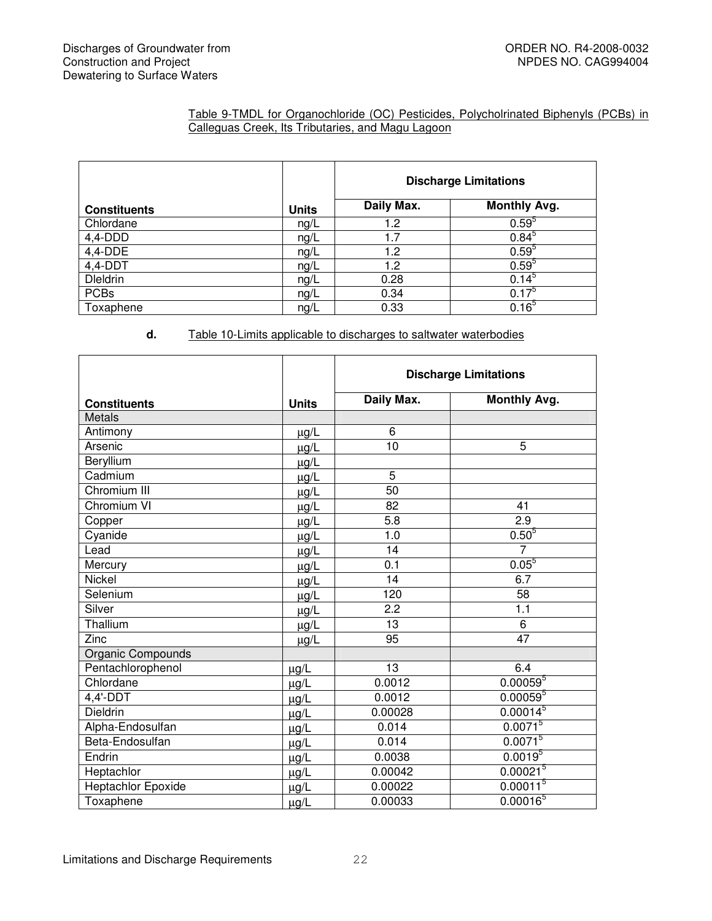#### Table 9-TMDL for Organochloride (OC) Pesticides, Polycholrinated Biphenyls (PCBs) in Calleguas Creek, Its Tributaries, and Magu Lagoon

|                     |              | <b>Discharge Limitations</b> |                     |  |
|---------------------|--------------|------------------------------|---------------------|--|
| <b>Constituents</b> | <b>Units</b> | Daily Max.                   | <b>Monthly Avg.</b> |  |
| Chlordane           | ng/L         | 1.2                          | $0.59^{5}$          |  |
| $4,4$ -DDD          | ng/L         | 1.7                          | $0.84^{5}$          |  |
| $4,4$ -DDE          | ng/L         | 1.2                          | $0.59^{5}$          |  |
| $4,4-DDT$           | ng/L         | 1.2                          | $0.59^{5}$          |  |
| <b>Dleldrin</b>     | ng/L         | 0.28                         | $0.14^{5}$          |  |
| <b>PCBs</b>         | ng/L         | 0.34                         | $0.17^{5}$          |  |
| Toxaphene           | ng/L         | 0.33                         | 0.16 <sup>5</sup>   |  |

# **d.** Table 10-Limits applicable to discharges to saltwater waterbodies

|                     |              | <b>Discharge Limitations</b> |                      |  |
|---------------------|--------------|------------------------------|----------------------|--|
| <b>Constituents</b> | <b>Units</b> | Daily Max.                   | <b>Monthly Avg.</b>  |  |
| <b>Metals</b>       |              |                              |                      |  |
| Antimony            | $\mu$ g/L    | 6                            |                      |  |
| Arsenic             | $\mu$ g/L    | 10                           | 5                    |  |
| Beryllium           | $\mu g/L$    |                              |                      |  |
| Cadmium             | $\mu$ g/L    | 5                            |                      |  |
| Chromium III        | $\mu$ g/L    | $\overline{50}$              |                      |  |
| Chromium VI         | $\mu$ g/L    | 82                           | 41                   |  |
| Copper              | $\mu$ g/L    | 5.8                          | 2.9                  |  |
| Cyanide             | $\mu$ g/L    | 1.0                          | $0.50^{5}$           |  |
| Lead                | $\mu$ g/L    | 14                           | $\overline{7}$       |  |
| Mercury             | $\mu$ g/L    | 0.1                          | $0.05^{5}$           |  |
| <b>Nickel</b>       | $\mu$ g/L    | 14                           | 6.7                  |  |
| Selenium            | $\mu$ g/L    | 120                          | 58                   |  |
| Silver              | $\mu$ g/L    | 2.2                          | $\overline{1.1}$     |  |
| Thallium            | $\mu$ g/L    | 13                           | 6                    |  |
| Zinc                | $\mu$ g/L    | 95                           | 47                   |  |
| Organic Compounds   |              |                              |                      |  |
| Pentachlorophenol   | $\mu$ g/L    | 13                           | 6.4                  |  |
| Chlordane           | $\mu$ g/L    | 0.0012                       | $0.00059^{5}$        |  |
| 4,4'-DDT            | $\mu$ g/L    | 0.0012                       | $0.00059^{5}$        |  |
| <b>Dieldrin</b>     | $\mu$ g/L    | 0.00028                      | $0.00014^{5}$        |  |
| Alpha-Endosulfan    | $\mu$ g/L    | 0.014                        | $0.0071^{5}$         |  |
| Beta-Endosulfan     | $\mu$ g/L    | 0.014                        | $0.0071^{5}$         |  |
| Endrin              | $\mu$ g/L    | 0.0038                       | $0.0019^{5}$         |  |
| Heptachlor          | $\mu$ g/L    | 0.00042                      | 0.00021 <sup>5</sup> |  |
| Heptachlor Epoxide  | $\mu$ g/L    | 0.00022                      | 0.00011 <sup>5</sup> |  |
| Toxaphene           | $\mu$ g/L    | 0.00033                      | $0.00016^{5}$        |  |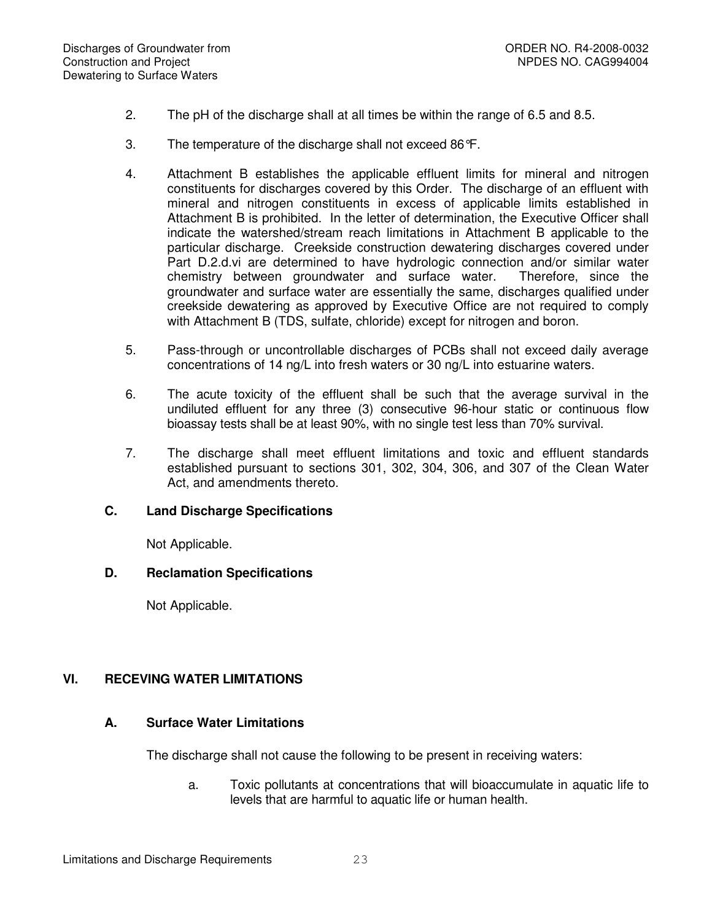- 2. The pH of the discharge shall at all times be within the range of 6.5 and 8.5.
- 3. The temperature of the discharge shall not exceed 86°F.
- 4. Attachment B establishes the applicable effluent limits for mineral and nitrogen constituents for discharges covered by this Order. The discharge of an effluent with mineral and nitrogen constituents in excess of applicable limits established in Attachment B is prohibited. In the letter of determination, the Executive Officer shall indicate the watershed/stream reach limitations in Attachment B applicable to the particular discharge. Creekside construction dewatering discharges covered under Part D.2.d.vi are determined to have hydrologic connection and/or similar water chemistry between groundwater and surface water. Therefore, since the groundwater and surface water are essentially the same, discharges qualified under creekside dewatering as approved by Executive Office are not required to comply with Attachment B (TDS, sulfate, chloride) except for nitrogen and boron.
- 5. Pass-through or uncontrollable discharges of PCBs shall not exceed daily average concentrations of 14 ng/L into fresh waters or 30 ng/L into estuarine waters.
- 6. The acute toxicity of the effluent shall be such that the average survival in the undiluted effluent for any three (3) consecutive 96-hour static or continuous flow bioassay tests shall be at least 90%, with no single test less than 70% survival.
- 7. The discharge shall meet effluent limitations and toxic and effluent standards established pursuant to sections 301, 302, 304, 306, and 307 of the Clean Water Act, and amendments thereto.

#### **C. Land Discharge Specifications**

Not Applicable.

## **D. Reclamation Specifications**

Not Applicable.

# **VI. RECEVING WATER LIMITATIONS**

# **A. Surface Water Limitations**

The discharge shall not cause the following to be present in receiving waters:

a. Toxic pollutants at concentrations that will bioaccumulate in aquatic life to levels that are harmful to aquatic life or human health.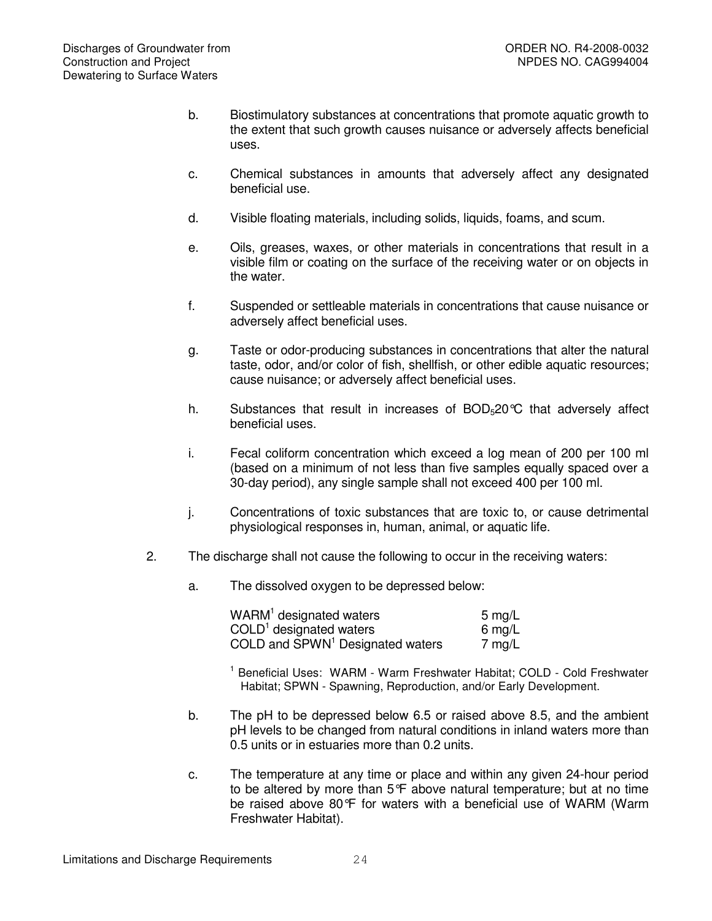- b. Biostimulatory substances at concentrations that promote aquatic growth to the extent that such growth causes nuisance or adversely affects beneficial uses.
- c. Chemical substances in amounts that adversely affect any designated beneficial use.
- d. Visible floating materials, including solids, liquids, foams, and scum.
- e. Oils, greases, waxes, or other materials in concentrations that result in a visible film or coating on the surface of the receiving water or on objects in the water.
- f. Suspended or settleable materials in concentrations that cause nuisance or adversely affect beneficial uses.
- g. Taste or odor-producing substances in concentrations that alter the natural taste, odor, and/or color of fish, shellfish, or other edible aquatic resources; cause nuisance; or adversely affect beneficial uses.
- h. Substances that result in increases of  $BOD<sub>5</sub>20^{\circ}C$  that adversely affect beneficial uses.
- i. Fecal coliform concentration which exceed a log mean of 200 per 100 ml (based on a minimum of not less than five samples equally spaced over a 30-day period), any single sample shall not exceed 400 per 100 ml.
- j. Concentrations of toxic substances that are toxic to, or cause detrimental physiological responses in, human, animal, or aquatic life.
- 2. The discharge shall not cause the following to occur in the receiving waters:
	- a. The dissolved oxygen to be depressed below:

| WARM <sup>1</sup> designated waters          | $5 \text{ mg/L}$ |
|----------------------------------------------|------------------|
| $COLD1$ designated waters                    | 6 mg/L           |
| COLD and SPWN <sup>1</sup> Designated waters | 7 mg/L           |

- <sup>1</sup> Beneficial Uses: WARM Warm Freshwater Habitat; COLD Cold Freshwater Habitat; SPWN - Spawning, Reproduction, and/or Early Development.
- b. The pH to be depressed below 6.5 or raised above 8.5, and the ambient pH levels to be changed from natural conditions in inland waters more than 0.5 units or in estuaries more than 0.2 units.
- c. The temperature at any time or place and within any given 24-hour period to be altered by more than 5°F above natural temperature; but at no time be raised above 80°F for waters with a beneficial use of WARM (Warm Freshwater Habitat).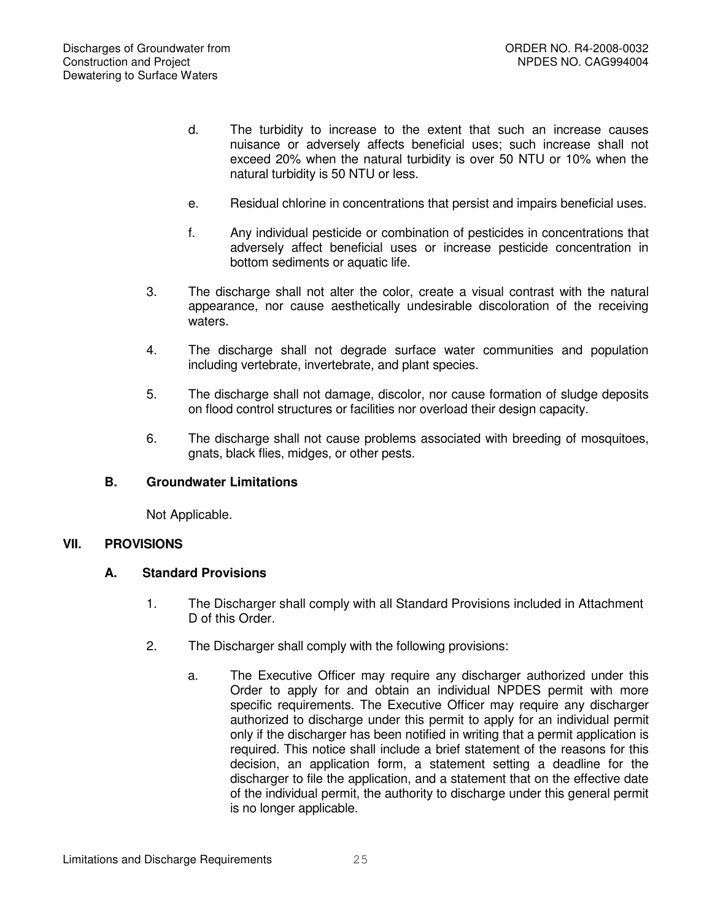- d. The turbidity to increase to the extent that such an increase causes nuisance or adversely affects beneficial uses; such increase shall not exceed 20% when the natural turbidity is over 50 NTU or 10% when the natural turbidity is 50 NTU or less.
- e. Residual chlorine in concentrations that persist and impairs beneficial uses.
- f. Any individual pesticide or combination of pesticides in concentrations that adversely affect beneficial uses or increase pesticide concentration in bottom sediments or aquatic life.
- 3. The discharge shall not alter the color, create a visual contrast with the natural appearance, nor cause aesthetically undesirable discoloration of the receiving waters.
- 4. The discharge shall not degrade surface water communities and population including vertebrate, invertebrate, and plant species.
- 5. The discharge shall not damage, discolor, nor cause formation of sludge deposits on flood control structures or facilities nor overload their design capacity.
- 6. The discharge shall not cause problems associated with breeding of mosquitoes, gnats, black flies, midges, or other pests.

# **B. Groundwater Limitations**

Not Applicable.

# **VII. PROVISIONS**

# **A. Standard Provisions**

- 1. The Discharger shall comply with all Standard Provisions included in Attachment D of this Order.
- 2. The Discharger shall comply with the following provisions:
	- a. The Executive Officer may require any discharger authorized under this Order to apply for and obtain an individual NPDES permit with more specific requirements. The Executive Officer may require any discharger authorized to discharge under this permit to apply for an individual permit only if the discharger has been notified in writing that a permit application is required. This notice shall include a brief statement of the reasons for this decision, an application form, a statement setting a deadline for the discharger to file the application, and a statement that on the effective date of the individual permit, the authority to discharge under this general permit is no longer applicable.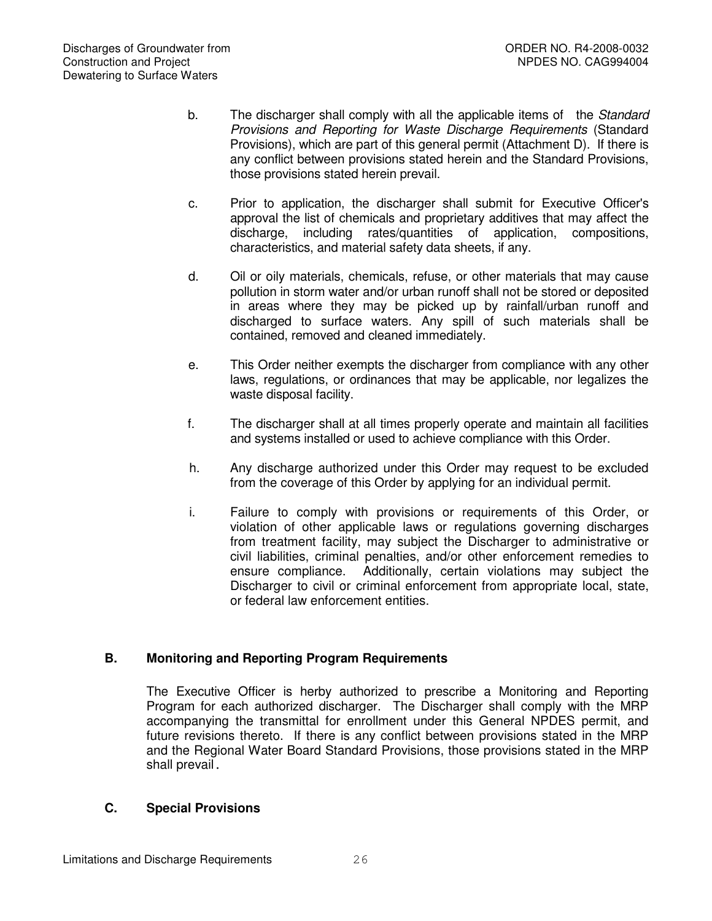- b. The discharger shall comply with all the applicable items of the *Standard Provisions and Reporting for Waste Discharge Requirements* (Standard Provisions), which are part of this general permit (Attachment D). If there is any conflict between provisions stated herein and the Standard Provisions, those provisions stated herein prevail.
- c. Prior to application, the discharger shall submit for Executive Officer's approval the list of chemicals and proprietary additives that may affect the discharge, including rates/quantities of application, compositions, characteristics, and material safety data sheets, if any.
- d. Oil or oily materials, chemicals, refuse, or other materials that may cause pollution in storm water and/or urban runoff shall not be stored or deposited in areas where they may be picked up by rainfall/urban runoff and discharged to surface waters. Any spill of such materials shall be contained, removed and cleaned immediately.
- e. This Order neither exempts the discharger from compliance with any other laws, regulations, or ordinances that may be applicable, nor legalizes the waste disposal facility.
- f. The discharger shall at all times properly operate and maintain all facilities and systems installed or used to achieve compliance with this Order.
- h. Any discharge authorized under this Order may request to be excluded from the coverage of this Order by applying for an individual permit.
- i. Failure to comply with provisions or requirements of this Order, or violation of other applicable laws or regulations governing discharges from treatment facility, may subject the Discharger to administrative or civil liabilities, criminal penalties, and/or other enforcement remedies to ensure compliance. Additionally, certain violations may subject the Discharger to civil or criminal enforcement from appropriate local, state, or federal law enforcement entities.

# **B. Monitoring and Reporting Program Requirements**

The Executive Officer is herby authorized to prescribe a Monitoring and Reporting Program for each authorized discharger. The Discharger shall comply with the MRP accompanying the transmittal for enrollment under this General NPDES permit, and future revisions thereto. If there is any conflict between provisions stated in the MRP and the Regional Water Board Standard Provisions, those provisions stated in the MRP shall prevail.

# **C. Special Provisions**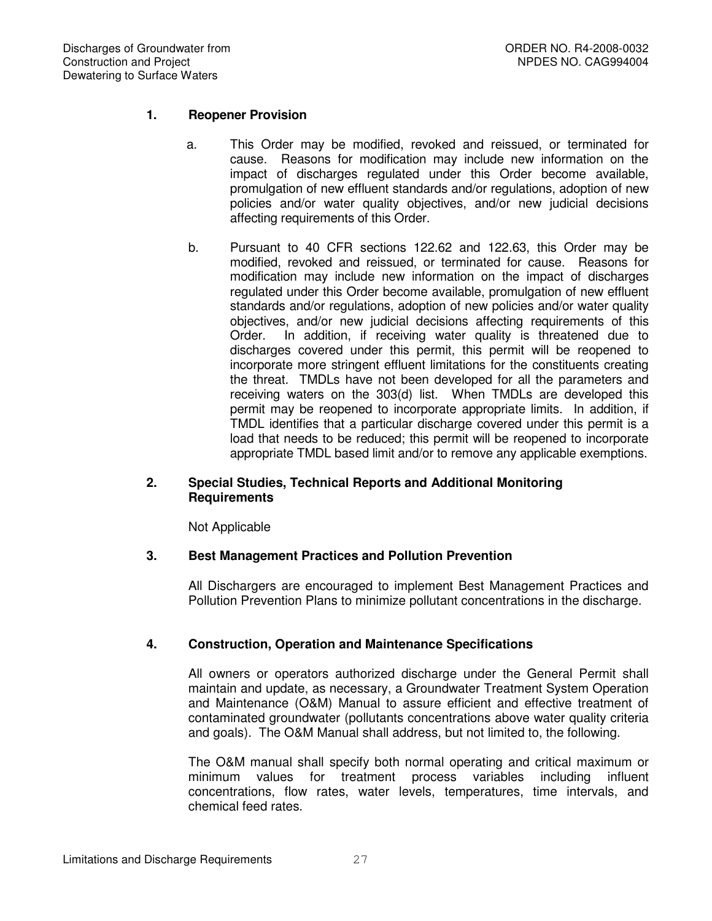# **1. Reopener Provision**

- a. This Order may be modified, revoked and reissued, or terminated for cause. Reasons for modification may include new information on the impact of discharges regulated under this Order become available, promulgation of new effluent standards and/or regulations, adoption of new policies and/or water quality objectives, and/or new judicial decisions affecting requirements of this Order.
- b. Pursuant to 40 CFR sections 122.62 and 122.63, this Order may be modified, revoked and reissued, or terminated for cause. Reasons for modification may include new information on the impact of discharges regulated under this Order become available, promulgation of new effluent standards and/or regulations, adoption of new policies and/or water quality objectives, and/or new judicial decisions affecting requirements of this Order. In addition, if receiving water quality is threatened due to discharges covered under this permit, this permit will be reopened to incorporate more stringent effluent limitations for the constituents creating the threat. TMDLs have not been developed for all the parameters and receiving waters on the 303(d) list. When TMDLs are developed this permit may be reopened to incorporate appropriate limits. In addition, if TMDL identifies that a particular discharge covered under this permit is a load that needs to be reduced; this permit will be reopened to incorporate appropriate TMDL based limit and/or to remove any applicable exemptions.

## **2. Special Studies, Technical Reports and Additional Monitoring Requirements**

Not Applicable

#### **3. Best Management Practices and Pollution Prevention**

All Dischargers are encouraged to implement Best Management Practices and Pollution Prevention Plans to minimize pollutant concentrations in the discharge.

#### **4. Construction, Operation and Maintenance Specifications**

All owners or operators authorized discharge under the General Permit shall maintain and update, as necessary, a Groundwater Treatment System Operation and Maintenance (O&M) Manual to assure efficient and effective treatment of contaminated groundwater (pollutants concentrations above water quality criteria and goals). The O&M Manual shall address, but not limited to, the following.

The O&M manual shall specify both normal operating and critical maximum or minimum values for treatment process variables including influent concentrations, flow rates, water levels, temperatures, time intervals, and chemical feed rates.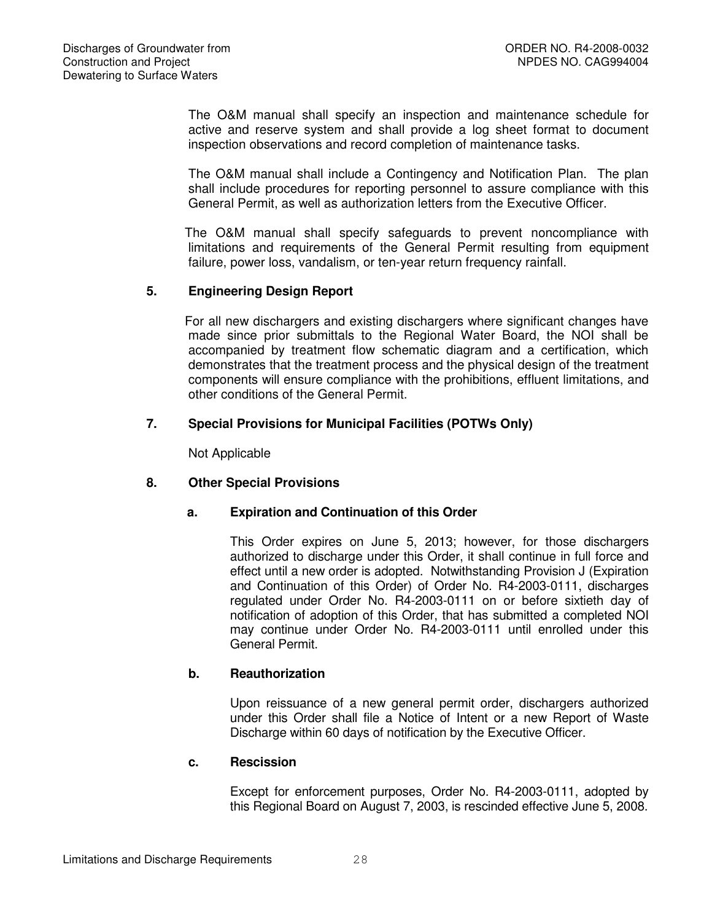The O&M manual shall specify an inspection and maintenance schedule for active and reserve system and shall provide a log sheet format to document inspection observations and record completion of maintenance tasks.

The O&M manual shall include a Contingency and Notification Plan. The plan shall include procedures for reporting personnel to assure compliance with this General Permit, as well as authorization letters from the Executive Officer.

The O&M manual shall specify safeguards to prevent noncompliance with limitations and requirements of the General Permit resulting from equipment failure, power loss, vandalism, or ten-year return frequency rainfall.

# **5. Engineering Design Report**

For all new dischargers and existing dischargers where significant changes have made since prior submittals to the Regional Water Board, the NOI shall be accompanied by treatment flow schematic diagram and a certification, which demonstrates that the treatment process and the physical design of the treatment components will ensure compliance with the prohibitions, effluent limitations, and other conditions of the General Permit.

## **7. Special Provisions for Municipal Facilities (POTWs Only)**

Not Applicable

# **8. Other Special Provisions**

# **a. Expiration and Continuation of this Order**

This Order expires on June 5, 2013; however, for those dischargers authorized to discharge under this Order, it shall continue in full force and effect until a new order is adopted. Notwithstanding Provision J (Expiration and Continuation of this Order) of Order No. R4-2003-0111, discharges regulated under Order No. R4-2003-0111 on or before sixtieth day of notification of adoption of this Order, that has submitted a completed NOI may continue under Order No. R4-2003-0111 until enrolled under this General Permit.

#### **b. Reauthorization**

Upon reissuance of a new general permit order, dischargers authorized under this Order shall file a Notice of Intent or a new Report of Waste Discharge within 60 days of notification by the Executive Officer.

#### **c. Rescission**

Except for enforcement purposes, Order No. R4-2003-0111, adopted by this Regional Board on August 7, 2003, is rescinded effective June 5, 2008.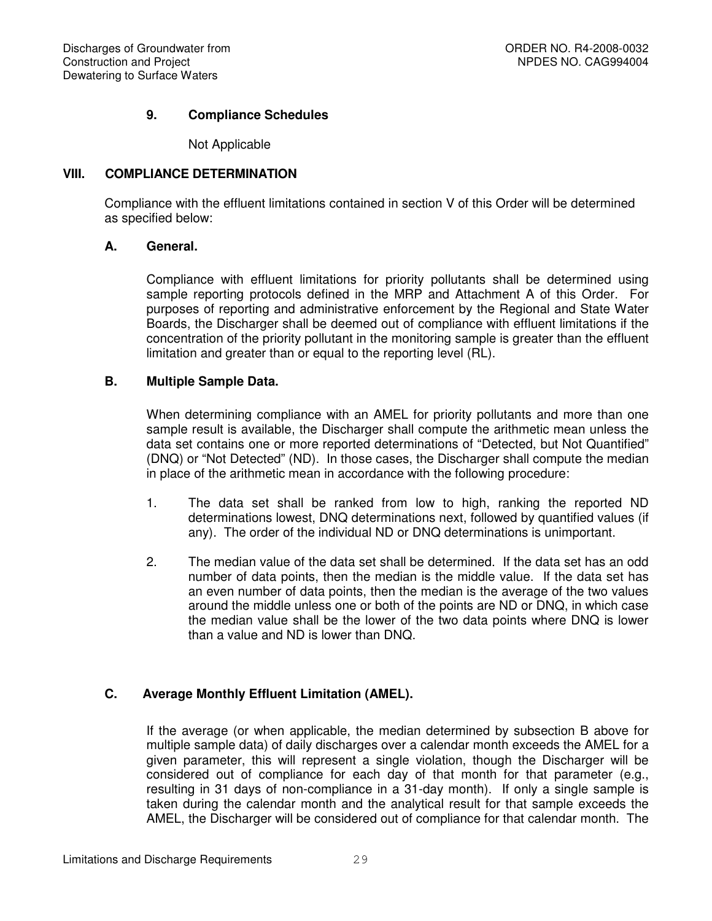# **9. Compliance Schedules**

Not Applicable

# **VIII. COMPLIANCE DETERMINATION**

Compliance with the effluent limitations contained in section V of this Order will be determined as specified below:

# **A. General.**

Compliance with effluent limitations for priority pollutants shall be determined using sample reporting protocols defined in the MRP and Attachment A of this Order. For purposes of reporting and administrative enforcement by the Regional and State Water Boards, the Discharger shall be deemed out of compliance with effluent limitations if the concentration of the priority pollutant in the monitoring sample is greater than the effluent limitation and greater than or equal to the reporting level (RL).

## **B. Multiple Sample Data.**

When determining compliance with an AMEL for priority pollutants and more than one sample result is available, the Discharger shall compute the arithmetic mean unless the data set contains one or more reported determinations of "Detected, but Not Quantified" (DNQ) or "Not Detected" (ND). In those cases, the Discharger shall compute the median in place of the arithmetic mean in accordance with the following procedure:

- 1. The data set shall be ranked from low to high, ranking the reported ND determinations lowest, DNQ determinations next, followed by quantified values (if any). The order of the individual ND or DNQ determinations is unimportant.
- 2. The median value of the data set shall be determined. If the data set has an odd number of data points, then the median is the middle value. If the data set has an even number of data points, then the median is the average of the two values around the middle unless one or both of the points are ND or DNQ, in which case the median value shall be the lower of the two data points where DNQ is lower than a value and ND is lower than DNQ.

# **C. Average Monthly Effluent Limitation (AMEL).**

If the average (or when applicable, the median determined by subsection B above for multiple sample data) of daily discharges over a calendar month exceeds the AMEL for a given parameter, this will represent a single violation, though the Discharger will be considered out of compliance for each day of that month for that parameter (e.g., resulting in 31 days of non-compliance in a 31-day month). If only a single sample is taken during the calendar month and the analytical result for that sample exceeds the AMEL, the Discharger will be considered out of compliance for that calendar month. The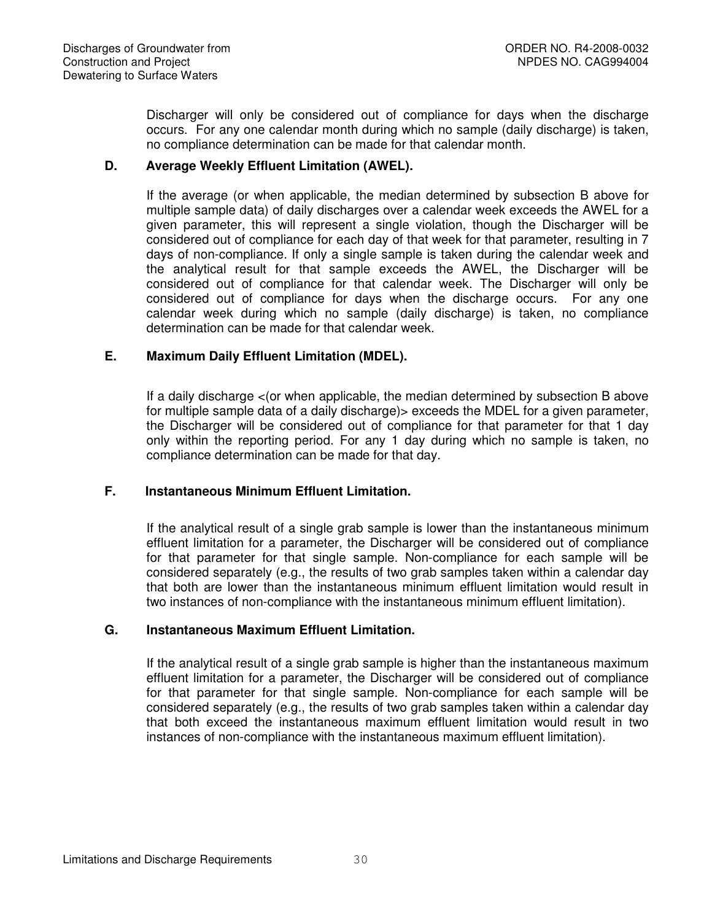Discharger will only be considered out of compliance for days when the discharge occurs. For any one calendar month during which no sample (daily discharge) is taken, no compliance determination can be made for that calendar month.

# **D. Average Weekly Effluent Limitation (AWEL).**

If the average (or when applicable, the median determined by subsection B above for multiple sample data) of daily discharges over a calendar week exceeds the AWEL for a given parameter, this will represent a single violation, though the Discharger will be considered out of compliance for each day of that week for that parameter, resulting in 7 days of non-compliance. If only a single sample is taken during the calendar week and the analytical result for that sample exceeds the AWEL, the Discharger will be considered out of compliance for that calendar week. The Discharger will only be considered out of compliance for days when the discharge occurs. For any one calendar week during which no sample (daily discharge) is taken, no compliance determination can be made for that calendar week.

## **E. Maximum Daily Effluent Limitation (MDEL).**

If a daily discharge <(or when applicable, the median determined by subsection B above for multiple sample data of a daily discharge) > exceeds the MDEL for a given parameter, the Discharger will be considered out of compliance for that parameter for that 1 day only within the reporting period. For any 1 day during which no sample is taken, no compliance determination can be made for that day.

# **F. Instantaneous Minimum Effluent Limitation.**

If the analytical result of a single grab sample is lower than the instantaneous minimum effluent limitation for a parameter, the Discharger will be considered out of compliance for that parameter for that single sample. Non-compliance for each sample will be considered separately (e.g., the results of two grab samples taken within a calendar day that both are lower than the instantaneous minimum effluent limitation would result in two instances of non-compliance with the instantaneous minimum effluent limitation).

#### **G. Instantaneous Maximum Effluent Limitation.**

If the analytical result of a single grab sample is higher than the instantaneous maximum effluent limitation for a parameter, the Discharger will be considered out of compliance for that parameter for that single sample. Non-compliance for each sample will be considered separately (e.g., the results of two grab samples taken within a calendar day that both exceed the instantaneous maximum effluent limitation would result in two instances of non-compliance with the instantaneous maximum effluent limitation).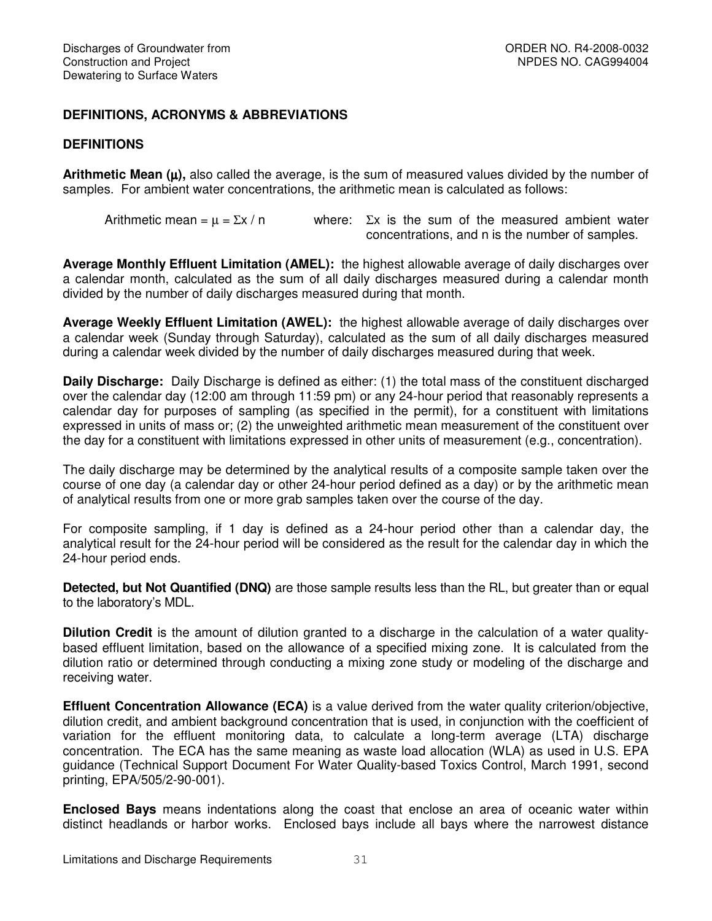# **DEFINITIONS, ACRONYMS & ABBREVIATIONS**

#### **DEFINITIONS**

**Arithmetic Mean (**µ**),** also called the average, is the sum of measured values divided by the number of samples. For ambient water concentrations, the arithmetic mean is calculated as follows:

Arithmetic mean =  $\mu$  =  $\Sigma x / n$  where:  $\Sigma x$  is the sum of the measured ambient water concentrations, and n is the number of samples.

**Average Monthly Effluent Limitation (AMEL):** the highest allowable average of daily discharges over a calendar month, calculated as the sum of all daily discharges measured during a calendar month divided by the number of daily discharges measured during that month.

**Average Weekly Effluent Limitation (AWEL):** the highest allowable average of daily discharges over a calendar week (Sunday through Saturday), calculated as the sum of all daily discharges measured during a calendar week divided by the number of daily discharges measured during that week.

**Daily Discharge:** Daily Discharge is defined as either: (1) the total mass of the constituent discharged over the calendar day (12:00 am through 11:59 pm) or any 24-hour period that reasonably represents a calendar day for purposes of sampling (as specified in the permit), for a constituent with limitations expressed in units of mass or; (2) the unweighted arithmetic mean measurement of the constituent over the day for a constituent with limitations expressed in other units of measurement (e.g., concentration).

The daily discharge may be determined by the analytical results of a composite sample taken over the course of one day (a calendar day or other 24-hour period defined as a day) or by the arithmetic mean of analytical results from one or more grab samples taken over the course of the day.

For composite sampling, if 1 day is defined as a 24-hour period other than a calendar day, the analytical result for the 24-hour period will be considered as the result for the calendar day in which the 24-hour period ends.

**Detected, but Not Quantified (DNQ)** are those sample results less than the RL, but greater than or equal to the laboratory's MDL.

**Dilution Credit** is the amount of dilution granted to a discharge in the calculation of a water qualitybased effluent limitation, based on the allowance of a specified mixing zone. It is calculated from the dilution ratio or determined through conducting a mixing zone study or modeling of the discharge and receiving water.

**Effluent Concentration Allowance (ECA)** is a value derived from the water quality criterion/objective, dilution credit, and ambient background concentration that is used, in conjunction with the coefficient of variation for the effluent monitoring data, to calculate a long-term average (LTA) discharge concentration. The ECA has the same meaning as waste load allocation (WLA) as used in U.S. EPA guidance (Technical Support Document For Water Quality-based Toxics Control, March 1991, second printing, EPA/505/2-90-001).

**Enclosed Bays** means indentations along the coast that enclose an area of oceanic water within distinct headlands or harbor works. Enclosed bays include all bays where the narrowest distance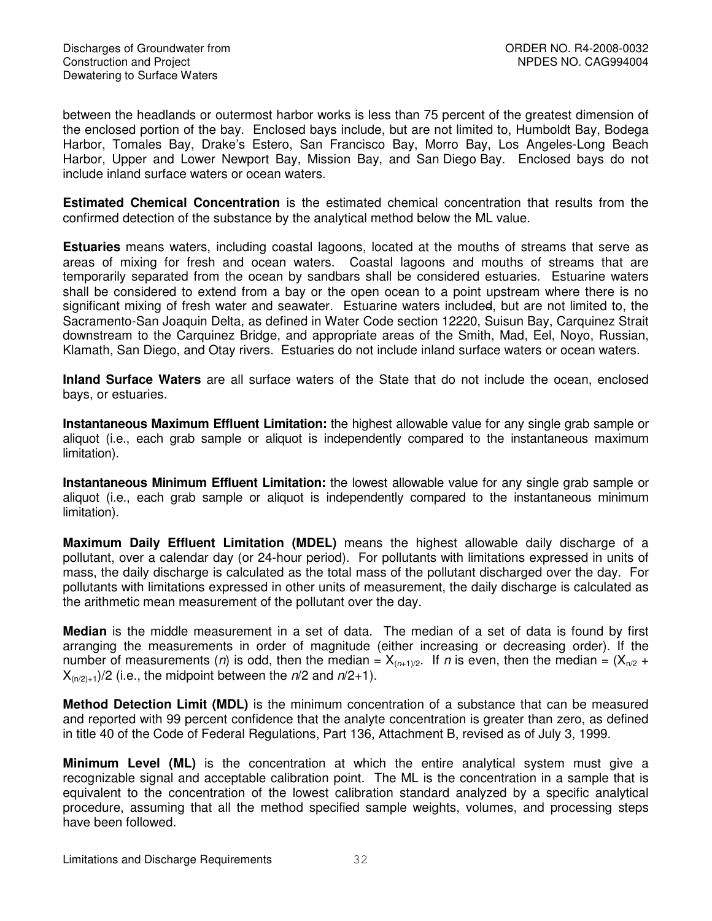between the headlands or outermost harbor works is less than 75 percent of the greatest dimension of the enclosed portion of the bay. Enclosed bays include, but are not limited to, Humboldt Bay, Bodega Harbor, Tomales Bay, Drake's Estero, San Francisco Bay, Morro Bay, Los Angeles-Long Beach Harbor, Upper and Lower Newport Bay, Mission Bay, and San Diego Bay. Enclosed bays do not include inland surface waters or ocean waters.

**Estimated Chemical Concentration** is the estimated chemical concentration that results from the confirmed detection of the substance by the analytical method below the ML value.

**Estuaries** means waters, including coastal lagoons, located at the mouths of streams that serve as areas of mixing for fresh and ocean waters. Coastal lagoons and mouths of streams that are temporarily separated from the ocean by sandbars shall be considered estuaries. Estuarine waters shall be considered to extend from a bay or the open ocean to a point upstream where there is no significant mixing of fresh water and seawater. Estuarine waters included, but are not limited to, the Sacramento-San Joaquin Delta, as defined in Water Code section 12220, Suisun Bay, Carquinez Strait downstream to the Carquinez Bridge, and appropriate areas of the Smith, Mad, Eel, Noyo, Russian, Klamath, San Diego, and Otay rivers. Estuaries do not include inland surface waters or ocean waters.

**Inland Surface Waters** are all surface waters of the State that do not include the ocean, enclosed bays, or estuaries.

**Instantaneous Maximum Effluent Limitation:** the highest allowable value for any single grab sample or aliquot (i.e., each grab sample or aliquot is independently compared to the instantaneous maximum limitation).

**Instantaneous Minimum Effluent Limitation:** the lowest allowable value for any single grab sample or aliquot (i.e., each grab sample or aliquot is independently compared to the instantaneous minimum limitation).

**Maximum Daily Effluent Limitation (MDEL)** means the highest allowable daily discharge of a pollutant, over a calendar day (or 24-hour period). For pollutants with limitations expressed in units of mass, the daily discharge is calculated as the total mass of the pollutant discharged over the day. For pollutants with limitations expressed in other units of measurement, the daily discharge is calculated as the arithmetic mean measurement of the pollutant over the day.

**Median** is the middle measurement in a set of data. The median of a set of data is found by first arranging the measurements in order of magnitude (either increasing or decreasing order). If the number of measurements (*n*) is odd, then the median =  $X_{(n+1)/2}$ . If *n* is even, then the median =  $(X_{n/2}$  +  $X_{(n/2)+1}/2$  (i.e., the midpoint between the  $n/2$  and  $n/2+1$ ).

**Method Detection Limit (MDL)** is the minimum concentration of a substance that can be measured and reported with 99 percent confidence that the analyte concentration is greater than zero, as defined in title 40 of the Code of Federal Regulations, Part 136, Attachment B, revised as of July 3, 1999.

**Minimum Level (ML)** is the concentration at which the entire analytical system must give a recognizable signal and acceptable calibration point. The ML is the concentration in a sample that is equivalent to the concentration of the lowest calibration standard analyzed by a specific analytical procedure, assuming that all the method specified sample weights, volumes, and processing steps have been followed.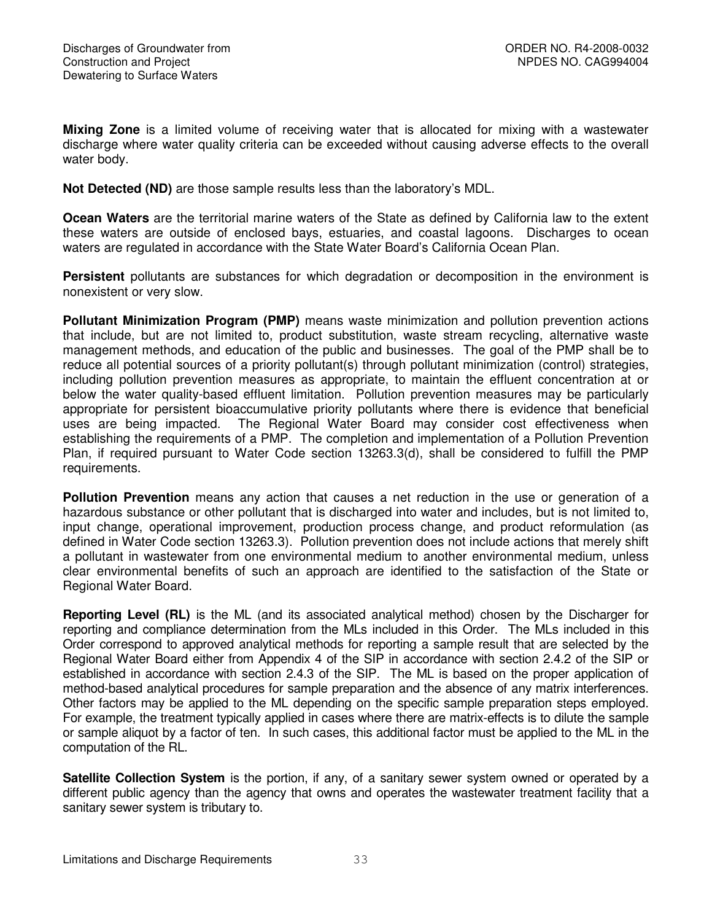**Mixing Zone** is a limited volume of receiving water that is allocated for mixing with a wastewater discharge where water quality criteria can be exceeded without causing adverse effects to the overall water body.

**Not Detected (ND)** are those sample results less than the laboratory's MDL.

**Ocean Waters** are the territorial marine waters of the State as defined by California law to the extent these waters are outside of enclosed bays, estuaries, and coastal lagoons. Discharges to ocean waters are regulated in accordance with the State Water Board's California Ocean Plan.

**Persistent** pollutants are substances for which degradation or decomposition in the environment is nonexistent or very slow.

**Pollutant Minimization Program (PMP)** means waste minimization and pollution prevention actions that include, but are not limited to, product substitution, waste stream recycling, alternative waste management methods, and education of the public and businesses. The goal of the PMP shall be to reduce all potential sources of a priority pollutant(s) through pollutant minimization (control) strategies, including pollution prevention measures as appropriate, to maintain the effluent concentration at or below the water quality-based effluent limitation. Pollution prevention measures may be particularly appropriate for persistent bioaccumulative priority pollutants where there is evidence that beneficial uses are being impacted. The Regional Water Board may consider cost effectiveness when establishing the requirements of a PMP. The completion and implementation of a Pollution Prevention Plan, if required pursuant to Water Code section 13263.3(d), shall be considered to fulfill the PMP requirements.

**Pollution Prevention** means any action that causes a net reduction in the use or generation of a hazardous substance or other pollutant that is discharged into water and includes, but is not limited to, input change, operational improvement, production process change, and product reformulation (as defined in Water Code section 13263.3). Pollution prevention does not include actions that merely shift a pollutant in wastewater from one environmental medium to another environmental medium, unless clear environmental benefits of such an approach are identified to the satisfaction of the State or Regional Water Board.

**Reporting Level (RL)** is the ML (and its associated analytical method) chosen by the Discharger for reporting and compliance determination from the MLs included in this Order. The MLs included in this Order correspond to approved analytical methods for reporting a sample result that are selected by the Regional Water Board either from Appendix 4 of the SIP in accordance with section 2.4.2 of the SIP or established in accordance with section 2.4.3 of the SIP. The ML is based on the proper application of method-based analytical procedures for sample preparation and the absence of any matrix interferences. Other factors may be applied to the ML depending on the specific sample preparation steps employed. For example, the treatment typically applied in cases where there are matrix-effects is to dilute the sample or sample aliquot by a factor of ten. In such cases, this additional factor must be applied to the ML in the computation of the RL.

**Satellite Collection System** is the portion, if any, of a sanitary sewer system owned or operated by a different public agency than the agency that owns and operates the wastewater treatment facility that a sanitary sewer system is tributary to.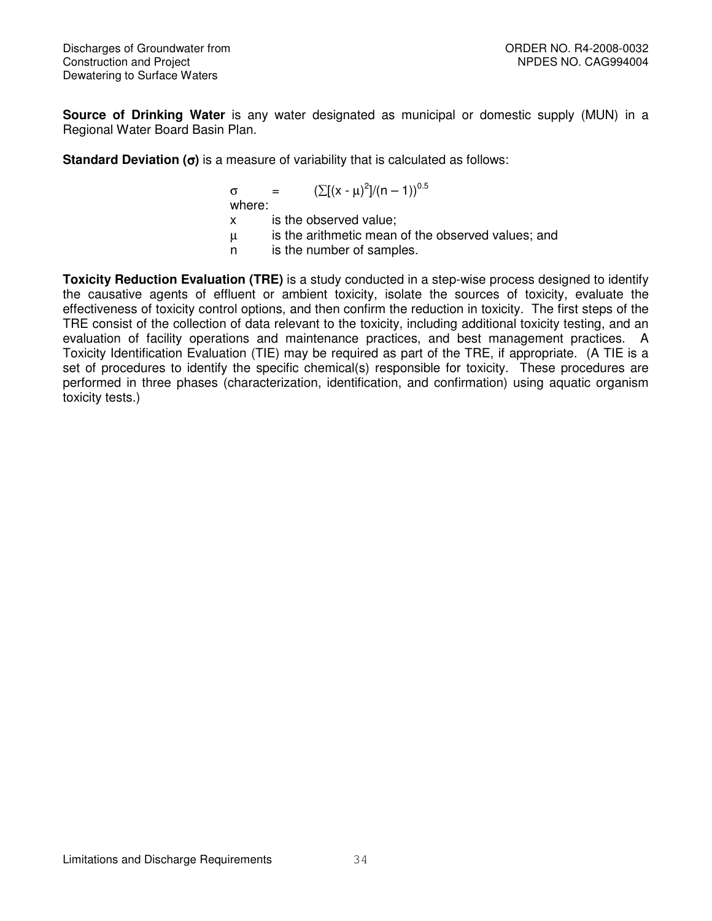**Source of Drinking Water** is any water designated as municipal or domestic supply (MUN) in a Regional Water Board Basin Plan.

**Standard Deviation (**σ**)** is a measure of variability that is calculated as follows:

$$
\sigma
$$
 =  $(\Sigma[(x - \mu)^2]/(n - 1))^{0.5}$   
where:

x is the observed value;

µ is the arithmetic mean of the observed values; and

n is the number of samples.

**Toxicity Reduction Evaluation (TRE)** is a study conducted in a step-wise process designed to identify the causative agents of effluent or ambient toxicity, isolate the sources of toxicity, evaluate the effectiveness of toxicity control options, and then confirm the reduction in toxicity. The first steps of the TRE consist of the collection of data relevant to the toxicity, including additional toxicity testing, and an evaluation of facility operations and maintenance practices, and best management practices. A Toxicity Identification Evaluation (TIE) may be required as part of the TRE, if appropriate. (A TIE is a set of procedures to identify the specific chemical(s) responsible for toxicity. These procedures are performed in three phases (characterization, identification, and confirmation) using aquatic organism toxicity tests.)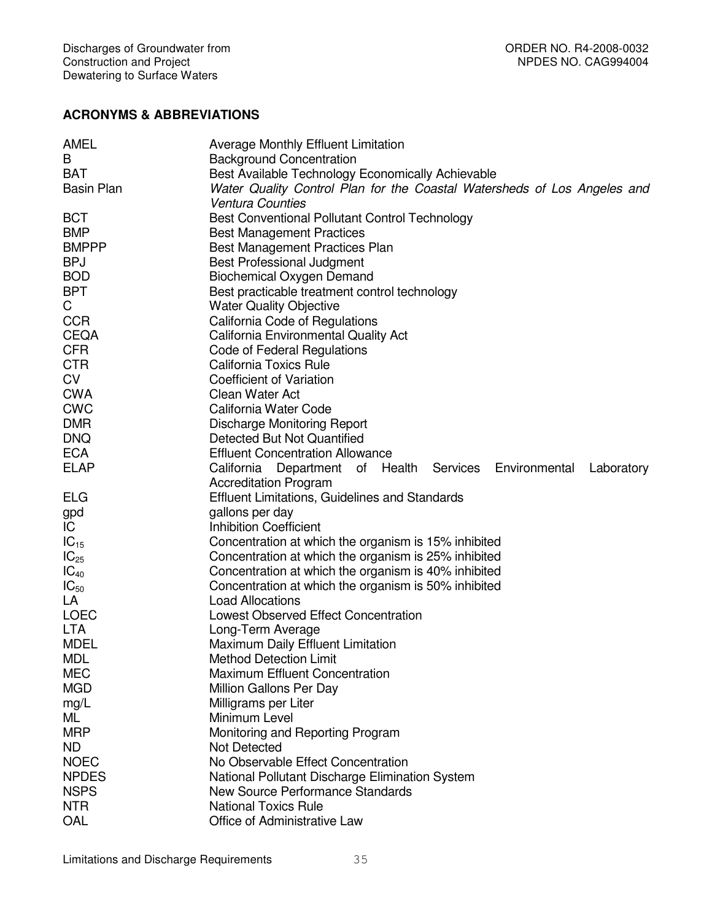# **ACRONYMS & ABBREVIATIONS**

| AMEL              | <b>Average Monthly Effluent Limitation</b>                               |  |  |  |  |
|-------------------|--------------------------------------------------------------------------|--|--|--|--|
| В                 | <b>Background Concentration</b>                                          |  |  |  |  |
| <b>BAT</b>        | Best Available Technology Economically Achievable                        |  |  |  |  |
| <b>Basin Plan</b> | Water Quality Control Plan for the Coastal Watersheds of Los Angeles and |  |  |  |  |
|                   | <b>Ventura Counties</b>                                                  |  |  |  |  |
| <b>BCT</b>        | Best Conventional Pollutant Control Technology                           |  |  |  |  |
| <b>BMP</b>        | <b>Best Management Practices</b>                                         |  |  |  |  |
| <b>BMPPP</b>      | Best Management Practices Plan                                           |  |  |  |  |
| <b>BPJ</b>        | Best Professional Judgment                                               |  |  |  |  |
| <b>BOD</b>        | <b>Biochemical Oxygen Demand</b>                                         |  |  |  |  |
| <b>BPT</b>        | Best practicable treatment control technology                            |  |  |  |  |
| C                 |                                                                          |  |  |  |  |
| <b>CCR</b>        | <b>Water Quality Objective</b>                                           |  |  |  |  |
|                   | California Code of Regulations                                           |  |  |  |  |
| <b>CEQA</b>       | California Environmental Quality Act                                     |  |  |  |  |
| <b>CFR</b>        | Code of Federal Regulations                                              |  |  |  |  |
| <b>CTR</b>        | <b>California Toxics Rule</b>                                            |  |  |  |  |
| <b>CV</b>         | <b>Coefficient of Variation</b>                                          |  |  |  |  |
| <b>CWA</b>        | Clean Water Act                                                          |  |  |  |  |
| <b>CWC</b>        | California Water Code                                                    |  |  |  |  |
| <b>DMR</b>        | Discharge Monitoring Report                                              |  |  |  |  |
| <b>DNQ</b>        | Detected But Not Quantified                                              |  |  |  |  |
| <b>ECA</b>        | <b>Effluent Concentration Allowance</b>                                  |  |  |  |  |
| <b>ELAP</b>       | California Department of Health Services Environmental<br>Laboratory     |  |  |  |  |
|                   | <b>Accreditation Program</b>                                             |  |  |  |  |
| <b>ELG</b>        | <b>Effluent Limitations, Guidelines and Standards</b>                    |  |  |  |  |
| gpd               | gallons per day                                                          |  |  |  |  |
| IC                | <b>Inhibition Coefficient</b>                                            |  |  |  |  |
| $IC_{15}$         | Concentration at which the organism is 15% inhibited                     |  |  |  |  |
| $IC_{25}$         | Concentration at which the organism is 25% inhibited                     |  |  |  |  |
| $IC_{40}$         | Concentration at which the organism is 40% inhibited                     |  |  |  |  |
| $IC_{50}$         | Concentration at which the organism is 50% inhibited                     |  |  |  |  |
| LA                | <b>Load Allocations</b>                                                  |  |  |  |  |
| <b>LOEC</b>       | Lowest Observed Effect Concentration                                     |  |  |  |  |
| <b>LTA</b>        | Long-Term Average                                                        |  |  |  |  |
| <b>MDEL</b>       | Maximum Daily Effluent Limitation                                        |  |  |  |  |
| <b>MDL</b>        | <b>Method Detection Limit</b>                                            |  |  |  |  |
| <b>MEC</b>        | <b>Maximum Effluent Concentration</b>                                    |  |  |  |  |
| <b>MGD</b>        | Million Gallons Per Day                                                  |  |  |  |  |
| mg/L              | Milligrams per Liter                                                     |  |  |  |  |
| ML                | Minimum Level                                                            |  |  |  |  |
| <b>MRP</b>        | Monitoring and Reporting Program                                         |  |  |  |  |
| ND.               | Not Detected                                                             |  |  |  |  |
| <b>NOEC</b>       | No Observable Effect Concentration                                       |  |  |  |  |
|                   |                                                                          |  |  |  |  |
| <b>NPDES</b>      | National Pollutant Discharge Elimination System                          |  |  |  |  |
| <b>NSPS</b>       | <b>New Source Performance Standards</b>                                  |  |  |  |  |
| <b>NTR</b>        | <b>National Toxics Rule</b>                                              |  |  |  |  |
| OAL               | Office of Administrative Law                                             |  |  |  |  |